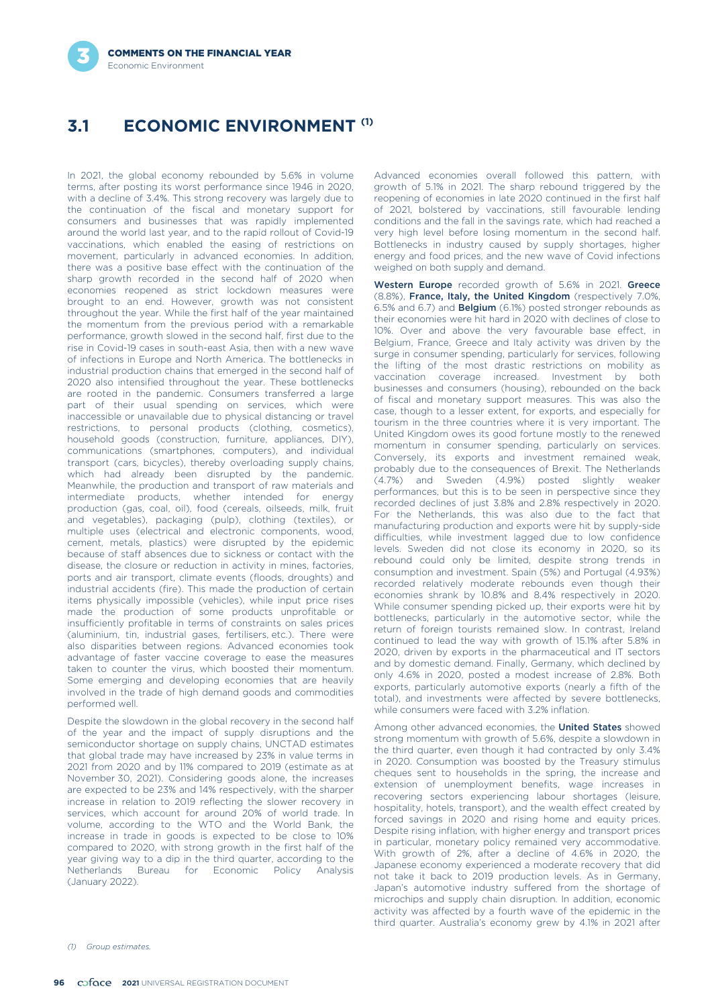# **ECONOMIC ENVIRONMENT (1) 3.1**

In 2021, the global economy rebounded by 5.6% in volume terms, after posting its worst performance since 1946 in 2020, with a decline of 3.4%. This strong recovery was largely due to the continuation of the fiscal and monetary support for consumers and businesses that was rapidly implemented around the world last year, and to the rapid rollout of Covid-19 vaccinations, which enabled the easing of restrictions on movement, particularly in advanced economies. In addition, there was a positive base effect with the continuation of the sharp growth recorded in the second half of 2020 when economies reopened as strict lockdown measures were brought to an end. However, growth was not consistent throughout the year. While the first half of the year maintained the momentum from the previous period with a remarkable performance, growth slowed in the second half, first due to the rise in Covid-19 cases in south-east Asia, then with a new wave of infections in Europe and North America. The bottlenecks in industrial production chains that emerged in the second half of 2020 also intensified throughout the year. These bottlenecks are rooted in the pandemic. Consumers transferred a large part of their usual spending on services, which were inaccessible or unavailable due to physical distancing or travel restrictions, to personal products (clothing, cosmetics), household goods (construction, furniture, appliances, DIY), communications (smartphones, computers), and individual transport (cars, bicycles), thereby overloading supply chains, which had already been disrupted by the pandemic. Meanwhile, the production and transport of raw materials and intermediate products, whether intended for energy production (gas, coal, oil), food (cereals, oilseeds, milk, fruit and vegetables), packaging (pulp), clothing (textiles), or multiple uses (electrical and electronic components, wood, cement, metals, plastics) were disrupted by the epidemic because of staff absences due to sickness or contact with the disease, the closure or reduction in activity in mines, factories, ports and air transport, climate events (floods, droughts) and industrial accidents (fire). This made the production of certain items physically impossible (vehicles), while input price rises made the production of some products unprofitable or insufficiently profitable in terms of constraints on sales prices (aluminium, tin, industrial gases, fertilisers, etc.). There were also disparities between regions. Advanced economies took advantage of faster vaccine coverage to ease the measures taken to counter the virus, which boosted their momentum. Some emerging and developing economies that are heavily involved in the trade of high demand goods and commodities performed well.

Despite the slowdown in the global recovery in the second half of the year and the impact of supply disruptions and the semiconductor shortage on supply chains, UNCTAD estimates that global trade may have increased by 23% in value terms in 2021 from 2020 and by 11% compared to 2019 (estimate as at November 30, 2021). Considering goods alone, the increases are expected to be 23% and 14% respectively, with the sharper increase in relation to 2019 reflecting the slower recovery in services, which account for around 20% of world trade. In volume, according to the WTO and the World Bank, the increase in trade in goods is expected to be close to 10% compared to 2020, with strong growth in the first half of the year giving way to a dip in the third quarter, according to the Netherlands Bureau for Economic Policy Analysis (January 2022).

Advanced economies overall followed this pattern, with growth of 5.1% in 2021. The sharp rebound triggered by the reopening of economies in late 2020 continued in the first half of 2021, bolstered by vaccinations, still favourable lending conditions and the fall in the savings rate, which had reached a very high level before losing momentum in the second half. Bottlenecks in industry caused by supply shortages, higher energy and food prices, and the new wave of Covid infections weighed on both supply and demand.

Western Europe recorded growth of 5.6% in 2021. Greece (8.8%), France, Italy, the United Kingdom (respectively 7.0%, 6.5% and 6.7) and Belgium (6.1%) posted stronger rebounds as their economies were hit hard in 2020 with declines of close to 10%. Over and above the very favourable base effect, in Belgium, France, Greece and Italy activity was driven by the surge in consumer spending, particularly for services, following the lifting of the most drastic restrictions on mobility as vaccination coverage increased. Investment by both businesses and consumers (housing), rebounded on the back of fiscal and monetary support measures. This was also the case, though to a lesser extent, for exports, and especially for tourism in the three countries where it is very important. The United Kingdom owes its good fortune mostly to the renewed momentum in consumer spending, particularly on services. Conversely its exports and investment remained weak probably due to the consequences of Brexit. The Netherlands (4.7%) and Sweden (4.9%) posted slightly weaker performances, but this is to be seen in perspective since they recorded declines of just 3.8% and 2.8% respectively in 2020. For the Netherlands, this was also due to the fact that manufacturing production and exports were hit by supply-side difficulties, while investment lagged due to low confidence levels. Sweden did not close its economy in 2020, so its rebound could only be limited, despite strong trends in consumption and investment. Spain (5%) and Portugal (4.93%) recorded relatively moderate rebounds even though their economies shrank by 10.8% and 8.4% respectively in 2020. While consumer spending picked up, their exports were hit by bottlenecks, particularly in the automotive sector, while the return of foreign tourists remained slow. In contrast, Ireland continued to lead the way with growth of 15.1% after 5.8% in 2020, driven by exports in the pharmaceutical and IT sectors and by domestic demand. Finally, Germany, which declined by only 4.6% in 2020, posted a modest increase of 2.8%. Both exports, particularly automotive exports (nearly a fifth of the total), and investments were affected by severe bottlenecks, while consumers were faced with 3.2% inflation.

Among other advanced economies, the **United States** showed strong momentum with growth of 5.6%, despite a slowdown in the third quarter, even though it had contracted by only 3.4% in 2020. Consumption was boosted by the Treasury stimulus cheques sent to households in the spring, the increase and extension of unemployment benefits, wage increases in recovering sectors experiencing labour shortages (leisure, hospitality, hotels, transport), and the wealth effect created by forced savings in 2020 and rising home and equity prices. Despite rising inflation, with higher energy and transport prices in particular, monetary policy remained very accommodative. With growth of 2%, after a decline of 4.6% in 2020, the Japanese economy experienced a moderate recovery that did not take it back to 2019 production levels. As in Germany, Japan's automotive industry suffered from the shortage of microchips and supply chain disruption. In addition, economic activity was affected by a fourth wave of the epidemic in the third quarter. Australia's economy grew by 4.1% in 2021 after

*(1) Group estimates.*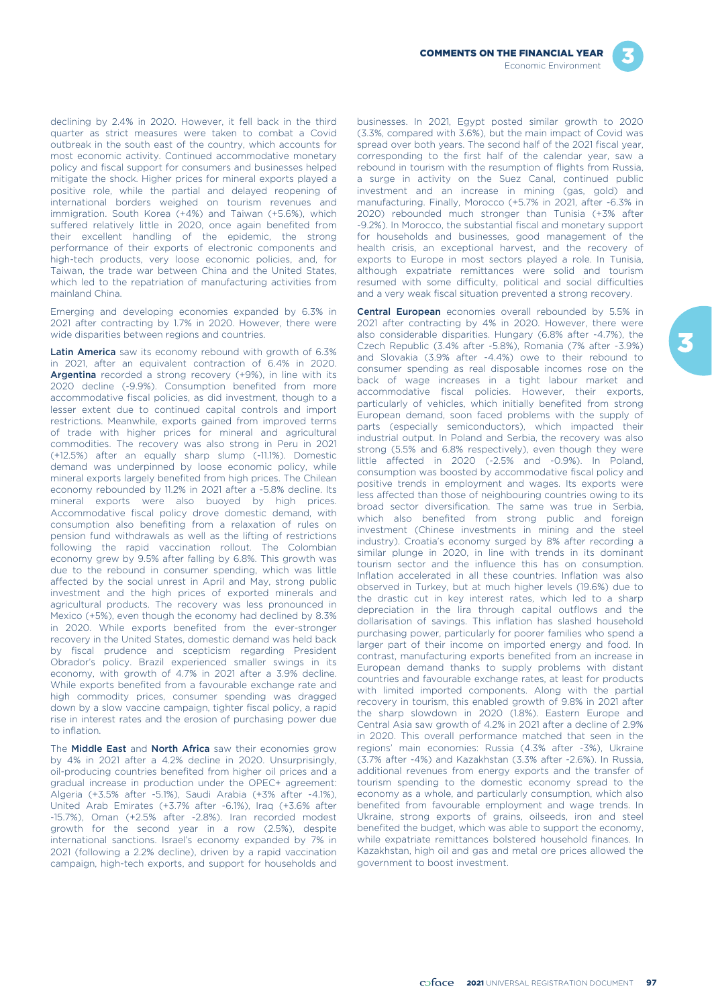

declining by 2.4% in 2020. However, it fell back in the third quarter as strict measures were taken to combat a Covid outbreak in the south east of the country, which accounts for most economic activity. Continued accommodative monetary policy and fiscal support for consumers and businesses helped mitigate the shock. Higher prices for mineral exports played a positive role, while the partial and delayed reopening of international borders weighed on tourism revenues and immigration. South Korea (+4%) and Taiwan (+5.6%), which suffered relatively little in 2020, once again benefited from their excellent handling of the epidemic, the strong performance of their exports of electronic components and high-tech products, very loose economic policies, and, for Taiwan, the trade war between China and the United States, which led to the repatriation of manufacturing activities from mainland China.

Emerging and developing economies expanded by 6.3% in 2021 after contracting by 1.7% in 2020. However, there were wide disparities between regions and countries.

Latin America saw its economy rebound with growth of 6.3% in 2021, after an equivalent contraction of 6.4% in 2020. Argentina recorded a strong recovery (+9%), in line with its 2020 decline (-9.9%). Consumption benefited from more accommodative fiscal policies, as did investment, though to a lesser extent due to continued capital controls and import restrictions. Meanwhile, exports gained from improved terms of trade with higher prices for mineral and agricultural commodities. The recovery was also strong in Peru in 2021 (+12.5%) after an equally sharp slump (-11.1%). Domestic demand was underpinned by loose economic policy, while mineral exports largely benefited from high prices. The Chilean economy rebounded by 11.2% in 2021 after a -5.8% decline. Its mineral exports were also buoyed by high prices. Accommodative fiscal policy drove domestic demand, with consumption also benefiting from a relaxation of rules on pension fund withdrawals as well as the lifting of restrictions following the rapid vaccination rollout. The Colombian economy grew by 9.5% after falling by 6.8%. This growth was due to the rebound in consumer spending, which was little affected by the social unrest in April and May, strong public investment and the high prices of exported minerals and agricultural products. The recovery was less pronounced in Mexico (+5%), even though the economy had declined by 8.3% in 2020. While exports benefited from the ever-stronger recovery in the United States, domestic demand was held back by fiscal prudence and scepticism regarding President Obrador's policy. Brazil experienced smaller swings in its economy, with growth of 4.7% in 2021 after a 3.9% decline. While exports benefited from a favourable exchange rate and high commodity prices, consumer spending was dragged down by a slow vaccine campaign, tighter fiscal policy, a rapid rise in interest rates and the erosion of purchasing power due to inflation.

The Middle East and North Africa saw their economies grow by 4% in 2021 after a 4.2% decline in 2020. Unsurprisingly, oil-producing countries benefited from higher oil prices and a gradual increase in production under the OPEC+ agreement: Algeria (+3.5% after -5.1%), Saudi Arabia (+3% after -4.1%), United Arab Emirates (+3.7% after -6.1%), Iraq (+3.6% after -15.7%), Oman (+2.5% after -2.8%). Iran recorded modest growth for the second year in a row (2.5%), despite international sanctions. Israel's economy expanded by 7% in 2021 (following a 2.2% decline), driven by a rapid vaccination campaign, high-tech exports, and support for households and

businesses. In 2021, Egypt posted similar growth to 2020 (3.3%, compared with 3.6%), but the main impact of Covid was spread over both years. The second half of the 2021 fiscal year, corresponding to the first half of the calendar year, saw a rebound in tourism with the resumption of flights from Russia, a surge in activity on the Suez Canal, continued public investment and an increase in mining (gas, gold) and manufacturing. Finally, Morocco (+5.7% in 2021, after -6.3% in 2020) rebounded much stronger than Tunisia (+3% after -9.2%). In Morocco, the substantial fiscal and monetary support for households and businesses, good management of the health crisis, an exceptional harvest, and the recovery of exports to Europe in most sectors played a role. In Tunisia, although expatriate remittances were solid and tourism resumed with some difficulty, political and social difficulties and a very weak fiscal situation prevented a strong recovery.

Central European economies overall rebounded by 5.5% in 2021 after contracting by 4% in 2020. However, there were also considerable disparities. Hungary (6.8% after -4.7%), the Czech Republic (3.4% after -5.8%), Romania (7% after -3.9%) and Slovakia (3.9% after -4.4%) owe to their rebound to consumer spending as real disposable incomes rose on the back of wage increases in a tight labour market and accommodative fiscal policies. However, their exports, particularly of vehicles, which initially benefited from strong European demand, soon faced problems with the supply of parts (especially semiconductors), which impacted their industrial output. In Poland and Serbia, the recovery was also strong (5.5% and 6.8% respectively), even though they were little affected in 2020 (-2.5% and -0.9%). In Poland, consumption was boosted by accommodative fiscal policy and positive trends in employment and wages. Its exports were less affected than those of neighbouring countries owing to its broad sector diversification. The same was true in Serbia, which also benefited from strong public and foreign investment (Chinese investments in mining and the steel industry). Croatia's economy surged by 8% after recording a similar plunge in 2020, in line with trends in its dominant tourism sector and the influence this has on consumption. Inflation accelerated in all these countries. Inflation was also observed in Turkey, but at much higher levels (19.6%) due to the drastic cut in key interest rates, which led to a sharp depreciation in the lira through capital outflows and the dollarisation of savings. This inflation has slashed household purchasing power, particularly for poorer families who spend a larger part of their income on imported energy and food. In contrast, manufacturing exports benefited from an increase in European demand thanks to supply problems with distant countries and favourable exchange rates, at least for products with limited imported components. Along with the partial recovery in tourism, this enabled growth of 9.8% in 2021 after the sharp slowdown in 2020 (1.8%). Eastern Europe and Central Asia saw growth of 4.2% in 2021 after a decline of 2.9% in 2020. This overall performance matched that seen in the regions' main economies: Russia (4.3% after -3%), Ukraine (3.7% after -4%) and Kazakhstan (3.3% after -2.6%). In Russia, additional revenues from energy exports and the transfer of tourism spending to the domestic economy spread to the economy as a whole, and particularly consumption, which also benefited from favourable employment and wage trends. In Ukraine, strong exports of grains, oilseeds, iron and steel benefited the budget, which was able to support the economy, while expatriate remittances bolstered household finances. In Kazakhstan, high oil and gas and metal ore prices allowed the government to boost investment.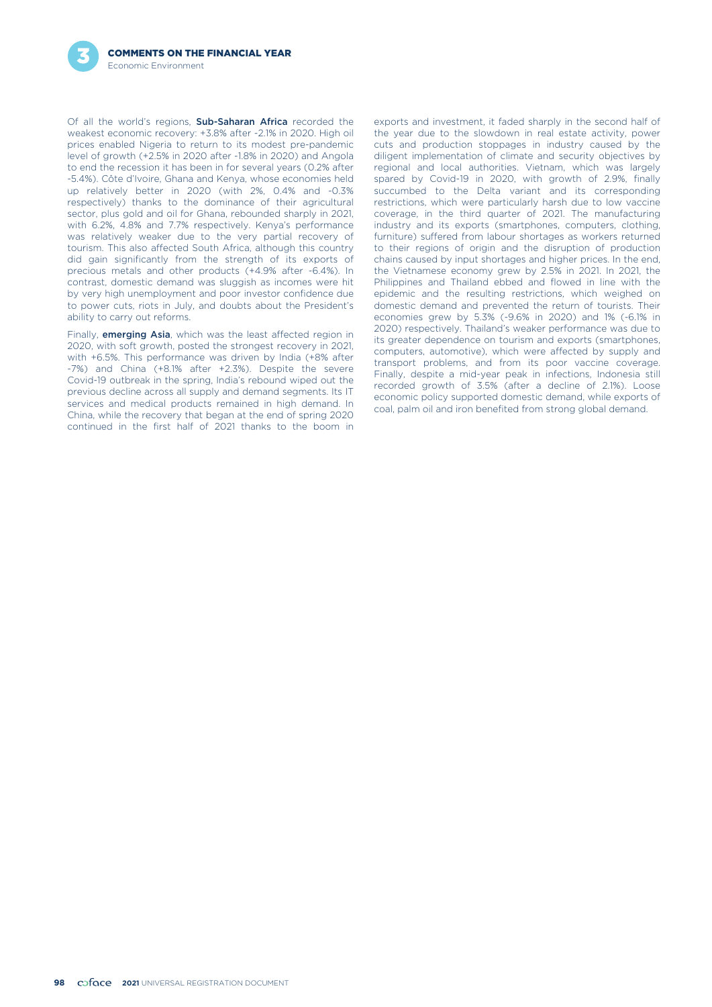Of all the world's regions, Sub-Saharan Africa recorded the weakest economic recovery: +3.8% after -2.1% in 2020. High oil prices enabled Nigeria to return to its modest pre-pandemic level of growth (+2.5% in 2020 after -1.8% in 2020) and Angola to end the recession it has been in for several years (0.2% after -5.4%). Côte d'Ivoire, Ghana and Kenya, whose economies held up relatively better in 2020 (with 2%, 0.4% and -0.3% respectively) thanks to the dominance of their agricultural sector, plus gold and oil for Ghana, rebounded sharply in 2021, with 6.2%, 4.8% and 7.7% respectively. Kenya's performance was relatively weaker due to the very partial recovery of tourism. This also affected South Africa, although this country did gain significantly from the strength of its exports of precious metals and other products (+4.9% after -6.4%). In contrast, domestic demand was sluggish as incomes were hit by very high unemployment and poor investor confidence due to power cuts, riots in July, and doubts about the President's ability to carry out reforms.

Finally, **emerging Asia**, which was the least affected region in  $2020$  respectively. Thailand's weaker performance was due to<br>
2020, with soft growth, posted the strongest recovery in 2021,<br>
with +6.5%. This performance continued in the first half of 2021 thanks to the boom in

exports and investment, it faded sharply in the second half of the year due to the slowdown in real estate activity, power cuts and production stoppages in industry caused by the diligent implementation of climate and security objectives by regional and local authorities. Vietnam, which was largely spared by Covid-19 in 2020, with growth of 2.9%, finally succumbed to the Delta variant and its corresponding restrictions, which were particularly harsh due to low vaccine coverage, in the third quarter of 2021. The manufacturing industry and its exports (smartphones, computers, clothing, furniture) suffered from labour shortages as workers returned to their regions of origin and the disruption of production chains caused by input shortages and higher prices. In the end, the Vietnamese economy grew by 2.5% in 2021. In 2021, the Philippines and Thailand ebbed and flowed in line with the epidemic and the resulting restrictions, which weighed on domestic demand and prevented the return of tourists. Their economies grew by 5.3% (-9.6% in 2020) and 1% (-6.1% in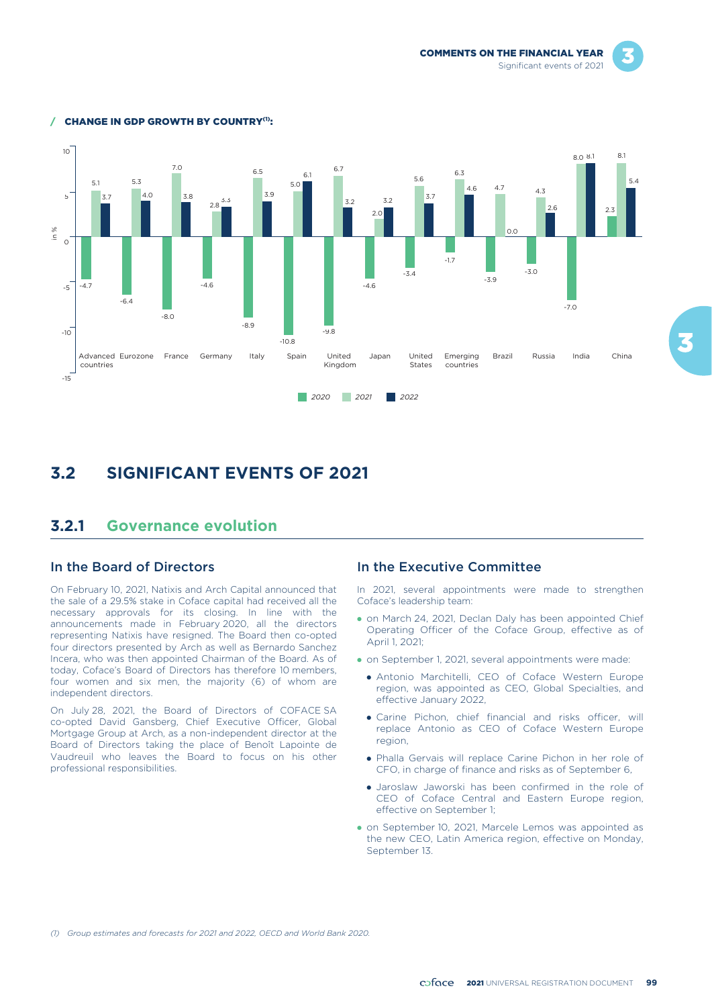COMMENTS ON THE FINANCIAL YEAR Significant events of 2021





#### **CHANGE IN GDP GROWTH BY COUNTRY(1):**

# **3.2 SIGNIFICANT EVENTS OF 2021**

### **3.2.1 Governance evolution**

### In the Board of Directors

On February 10, 2021, Natixis and Arch Capital announced that the sale of a 29.5% stake in Coface capital had received all the necessary approvals for its closing. In line with the announcements made in February 2020, all the directors representing Natixis have resigned. The Board then co-opted four directors presented by Arch as well as Bernardo Sanchez Incera, who was then appointed Chairman of the Board. As of today, Coface's Board of Directors has therefore 10 members, four women and six men, the majority (6) of whom are independent directors.

On July 28, 2021, the Board of Directors of COFACE SA co-opted David Gansberg, Chief Executive Officer, Global Mortgage Group at Arch, as a non-independent director at the Board of Directors taking the place of Benoît Lapointe de Vaudreuil who leaves the Board to focus on his other professional responsibilities.

#### In the Executive Committee

In 2021, several appointments were made to strengthen Coface's leadership team:

- on March 24, 2021, Declan Daly has been appointed Chief Operating Officer of the Coface Group, effective as of April 1, 2021;
- on September 1, 2021, several appointments were made:
	- Antonio Marchitelli, CEO of Coface Western Europe region, was appointed as CEO, Global Specialties, and effective January 2022,
	- Carine Pichon, chief financial and risks officer, will replace Antonio as CEO of Coface Western Europe region,
	- Phalla Gervais will replace Carine Pichon in her role of CFO, in charge of finance and risks as of September 6,
	- Jaroslaw Jaworski has been confirmed in the role of CEO of Coface Central and Eastern Europe region, effective on September 1;
- on September 10, 2021, Marcele Lemos was appointed as the new CEO, Latin America region, effective on Monday, Sentember 13.

*(1) Group estimates and forecasts for 2021 and 2022, OECD and World Bank 2020.*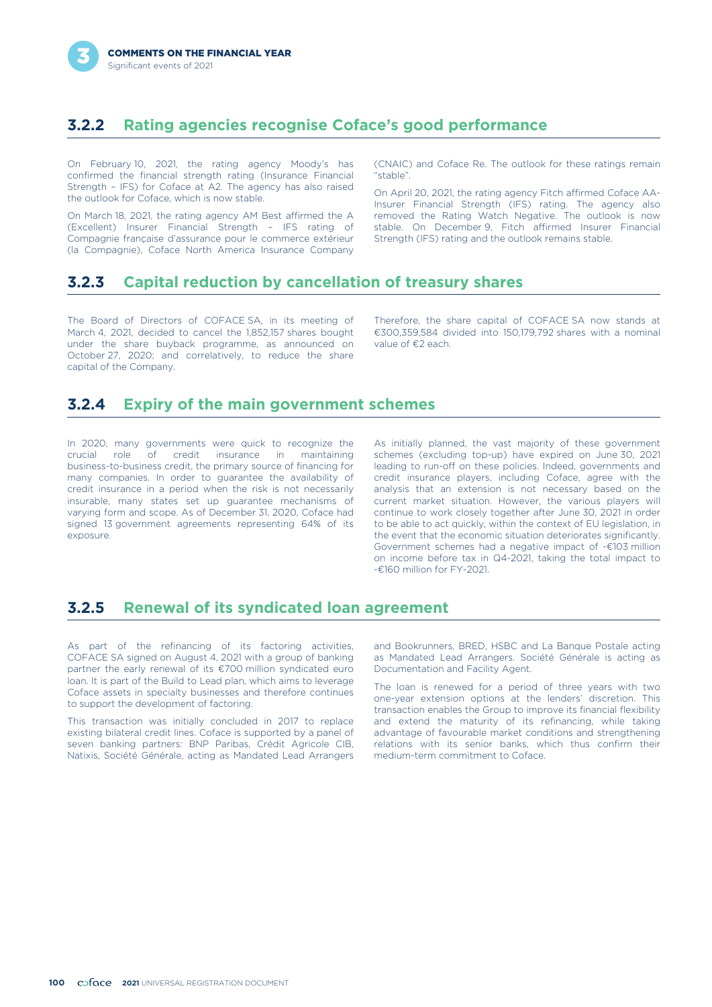# **3.2.2 Rating agencies recognise Coface's good performance**

On February 10, 2021, the rating agency Moody's has confirmed the financial strength rating (Insurance Financial Strength – IFS) for Coface at A2. The agency has also raised the outlook for Coface, which is now stable.

On March 18, 2021, the rating agency AM Best affirmed the A (Excellent) Insurer Financial Strength – IFS rating of Compagnie française d'assurance pour le commerce extérieur (la Compagnie), Coface North America Insurance Company (CNAIC) and Coface Re. The outlook for these ratings remain "stable".

On April 20, 2021, the rating agency Fitch affirmed Coface AA-Insurer Financial Strength (IFS) rating. The agency also removed the Rating Watch Negative. The outlook is now stable. On December 9, Fitch affirmed Insurer Financial Strength (IFS) rating and the outlook remains stable.

# **3.2.3 Capital reduction by cancellation of treasury shares**

The Board of Directors of COFACE SA, in its meeting of March 4, 2021, decided to cancel the 1,852,157 shares bought under the share buyback programme, as announced on October 27, 2020; and correlatively, to reduce the share capital of the Company.

Therefore, the share capital of COFACE SA now stands at €300,359,584 divided into 150,179,792 shares with a nominal value of €2 each.

# **3.2.4 Expiry of the main government schemes**

In 2020, many governments were quick to recognize the crucial role of credit insurance in maintaining business-to-business credit, the primary source of financing for many companies. In order to guarantee the availability of credit insurance in a period when the risk is not necessarily insurable, many states set up guarantee mechanisms of varying form and scope. As of December 31, 2020, Coface had signed 13 government agreements representing 64% of its exposure.

As initially planned, the vast majority of these government schemes (excluding top-up) have expired on June 30, 2021 leading to run-off on these policies. Indeed, governments and credit insurance players, including Coface, agree with the analysis that an extension is not necessary based on the current market situation. However, the various players will continue to work closely together after June 30, 2021 in order to be able to act quickly, within the context of EU legislation, in the event that the economic situation deteriorates significantly. Government schemes had a negative impact of -€103 million on income before tax in Q4-2021, taking the total impact to -€160 million for FY-2021.

# **3.2.5 Renewal of its syndicated loan agreement**

As part of the refinancing of its factoring activities, COFACE SA signed on August 4, 2021 with a group of banking partner the early renewal of its €700 million syndicated euro loan. It is part of the Build to Lead plan, which aims to leverage Coface assets in specialty businesses and therefore continues to support the development of factoring.

This transaction was initially concluded in 2017 to replace existing bilateral credit lines. Coface is supported by a panel of seven banking partners: BNP Paribas, Crédit Agricole CIB, Natixis, Société Générale, acting as Mandated Lead Arrangers

and Bookrunners, BRED, HSBC and La Banque Postale acting as Mandated Lead Arrangers. Société Générale is acting as Documentation and Facility Agent.

The loan is renewed for a period of three years with two one-year extension options at the lenders' discretion. This transaction enables the Group to improve its financial flexibility and extend the maturity of its refinancing, while taking advantage of favourable market conditions and strengthening relations with its senior banks, which thus confirm their medium-term commitment to Coface.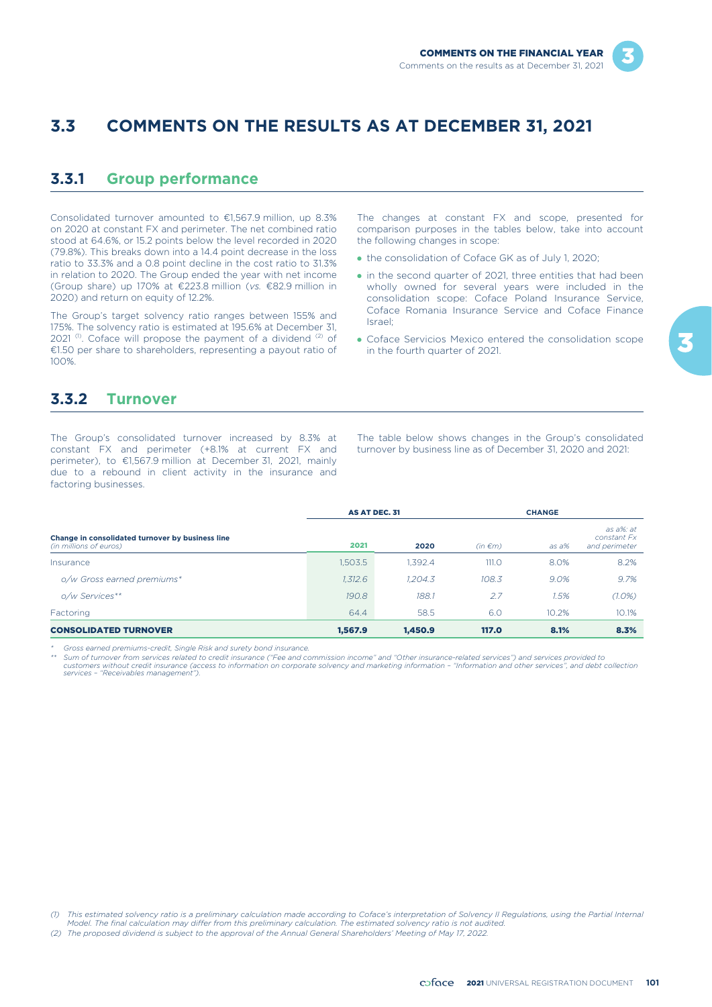# **3.3 COMMENTS ON THE RESULTS AS AT DECEMBER 31, 2021**

# **3.3.1 Group performance**

Consolidated turnover amounted to €1,567.9 million, up 8.3% on 2020 at constant FX and perimeter. The net combined ratio stood at 64.6%, or 15.2 points below the level recorded in 2020 (79.8%). This breaks down into a 14.4 point decrease in the loss ratio to 33.3% and a 0.8 point decline in the cost ratio to 31.3% in relation to 2020. The Group ended the year with net income (Group share) up 170% at €223.8 million (*vs.* €82.9 million in 2020) and return on equity of 12.2%.

The Group's target solvency ratio ranges between 155% and 175%. The solvency ratio is estimated at 195.6% at December 31, 2021 $(1)$ . Coface will propose the payment of a dividend  $(2)$  of €1.50 per share to shareholders, representing a payout ratio of 100%.

The changes at constant FX and scope, presented for comparison purposes in the tables below, take into account the following changes in scope:

- the consolidation of Coface GK as of July 1, 2020;
- in the second quarter of 2021, three entities that had been wholly owned for several years were included in the consolidation scope: Coface Poland Insurance Service, Coface Romania Insurance Service and Coface Finance Israel;
- Coface Servicios Mexico entered the consolidation scope in the fourth quarter of 2021.

# **3.3.2 Turnover**

The Group's consolidated turnover increased by 8.3% at constant FX and perimeter (+8.1% at current FX and perimeter), to €1,567.9 million at December 31, 2021, mainly due to a rebound in client activity in the insurance and factoring businesses.

The table below shows changes in the Group's consolidated turnover by business line as of December 31, 2020 and 2021:

|                                                                            | AS AT DEC. 31 |         |              | <b>CHANGE</b> |                                           |  |
|----------------------------------------------------------------------------|---------------|---------|--------------|---------------|-------------------------------------------|--|
| Change in consolidated turnover by business line<br>(in millions of euros) | 2021          | 2020    | $(in \in m)$ | as a%         | as a%: at<br>constant Fx<br>and perimeter |  |
| Insurance                                                                  | 1,503.5       | 1.392.4 | 111.O        | 8.0%          | 8.2%                                      |  |
| o/w Gross earned premiums*                                                 | 1,312.6       | 1.204.3 | 108.3        | 9.0%          | 9.7%                                      |  |
| o/w Services**                                                             | 190.8         | 188.1   | 2.7          | 1.5%          | $(1.0\%)$                                 |  |
| Factoring                                                                  | 64.4          | 58.5    | 6.0          | 10.2%         | 10.1%                                     |  |
| <b>CONSOLIDATED TURNOVER</b>                                               | 1.567.9       | 1.450.9 | <b>117.0</b> | 8.1%          | 8.3%                                      |  |

*\* Gross earned premiums-credit, Single Risk and surety bond insurance.*

\*\* Sum of turnover from services related to credit insurance ("Fee and commission income" and "Other insurance-related services") and services provided to<br>customers without credit insurance (access to information on corpor

*<sup>(1)</sup> This estimated solvency ratio is a preliminary calculation made according to Coface's interpretation of Solvency II Regulations, using the Partial Internal Model. The final calculation may differ from this preliminary calculation. The estimated solvency ratio is not audited.*

*<sup>(2)</sup> The proposed dividend is subject to the approval of the Annual General Shareholders' Meeting of May 17, 2022.*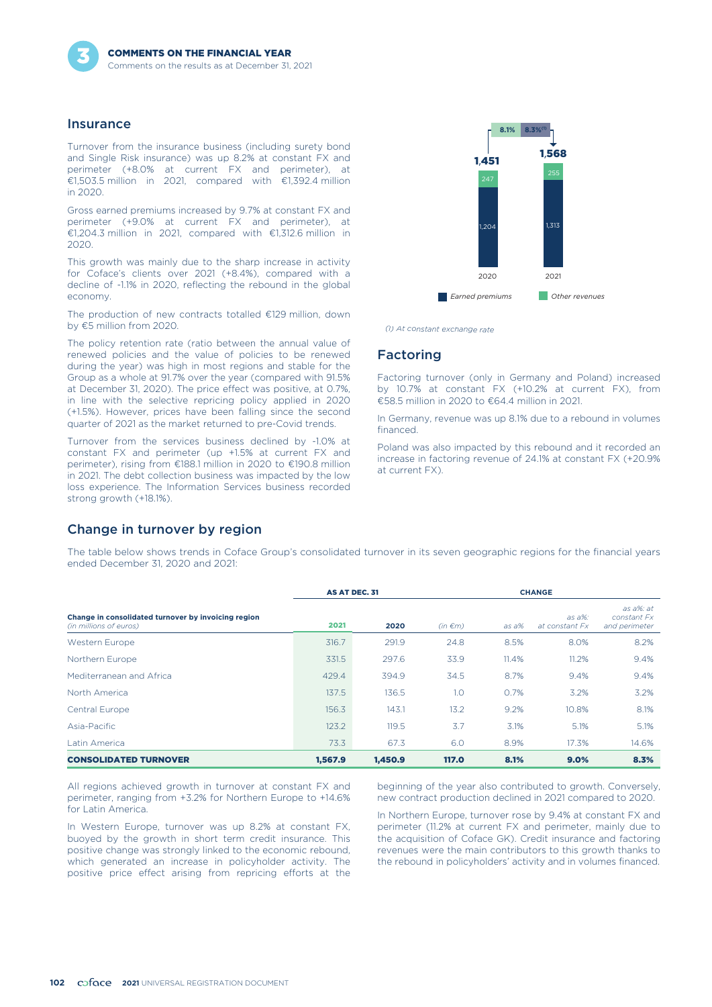

### **Insurance**

Turnover from the insurance business (including surety bond and Single Risk insurance) was up 8.2% at constant FX and perimeter (+8.0% at current FX and perimeter), at €1,503.5 million in 2021, compared with €1,392.4 million in 2020.

Gross earned premiums increased by 9.7% at constant FX and perimeter (+9.0% at current FX and perimeter), at €1,204.3 million in 2021, compared with €1,312.6 million in 2020.

This growth was mainly due to the sharp increase in activity for Coface's clients over 2021 (+8.4%), compared with a decline of -1.1% in 2020, reflecting the rebound in the global economy.

The production of new contracts totalled €129 million, down by €5 million from 2020.

The policy retention rate (ratio between the annual value of renewed policies and the value of policies to be renewed during the year) was high in most regions and stable for the Group as a whole at 91.7% over the year (compared with 91.5% at December 31, 2020). The price effect was positive, at 0.7%, in line with the selective repricing policy applied in 2020 (+1.5%). However, prices have been falling since the second quarter of 2021 as the market returned to pre-Covid trends.

Turnover from the services business declined by -1.0% at constant FX and perimeter (up +1.5% at current FX and perimeter), rising from €188.1 million in 2020 to €190.8 million in 2021. The debt collection business was impacted by the low loss experience. The Information Services business recorded strong growth (+18.1%).



*(1) At constant exchange rate*

### Factoring

Factoring turnover (only in Germany and Poland) increased by 10.7% at constant FX (+10.2% at current FX), from €58.5 million in 2020 to €64.4 million in 2021.

In Germany, revenue was up 8.1% due to a rebound in volumes financed.

Poland was also impacted by this rebound and it recorded an increase in factoring revenue of 24.1% at constant FX (+20.9% at current FX).

### Change in turnover by region

The table below shows trends in Coface Group's consolidated turnover in its seven geographic regions for the financial years ended December 31, 2020 and 2021:

|                                                                               | AS AT DEC. 31 |         |              | <b>CHANGE</b> |                            |                                           |
|-------------------------------------------------------------------------------|---------------|---------|--------------|---------------|----------------------------|-------------------------------------------|
| Change in consolidated turnover by invoicing region<br>(in millions of euros) | 2021          | 2020    | $(in \in m)$ | as a%         | $as a\%$<br>at constant Fx | as a%: at<br>constant Fx<br>and perimeter |
| Western Europe                                                                | 316.7         | 291.9   | 24.8         | 8.5%          | 8.0%                       | 8.2%                                      |
| Northern Europe                                                               | 331.5         | 297.6   | 33.9         | 11.4%         | 11.2%                      | 9.4%                                      |
| Mediterranean and Africa                                                      | 429.4         | 394.9   | 34.5         | 8.7%          | 9.4%                       | 9.4%                                      |
| North America                                                                 | 137.5         | 136.5   | 1.0          | 0.7%          | 3.2%                       | 3.2%                                      |
| Central Europe                                                                | 156.3         | 143.1   | 13.2         | 9.2%          | 10.8%                      | 8.1%                                      |
| Asia-Pacific                                                                  | 123.2         | 119.5   | 3.7          | 3.1%          | 5.1%                       | 5.1%                                      |
| Latin America                                                                 | 73.3          | 67.3    | 6.0          | 8.9%          | 17.3%                      | 14.6%                                     |
| <b>CONSOLIDATED TURNOVER</b>                                                  | 1.567.9       | 1.450.9 | <b>117.0</b> | 8.1%          | 9.0%                       | 8.3%                                      |

All regions achieved growth in turnover at constant FX and perimeter, ranging from +3.2% for Northern Europe to +14.6% for Latin America.

In Western Europe, turnover was up 8.2% at constant FX, buoyed by the growth in short term credit insurance. This positive change was strongly linked to the economic rebound, which generated an increase in policyholder activity. The positive price effect arising from repricing efforts at the beginning of the year also contributed to growth. Conversely, new contract production declined in 2021 compared to 2020.

In Northern Europe, turnover rose by 9.4% at constant FX and perimeter (11.2% at current FX and perimeter, mainly due to the acquisition of Coface GK). Credit insurance and factoring revenues were the main contributors to this growth thanks to the rebound in policyholders' activity and in volumes financed.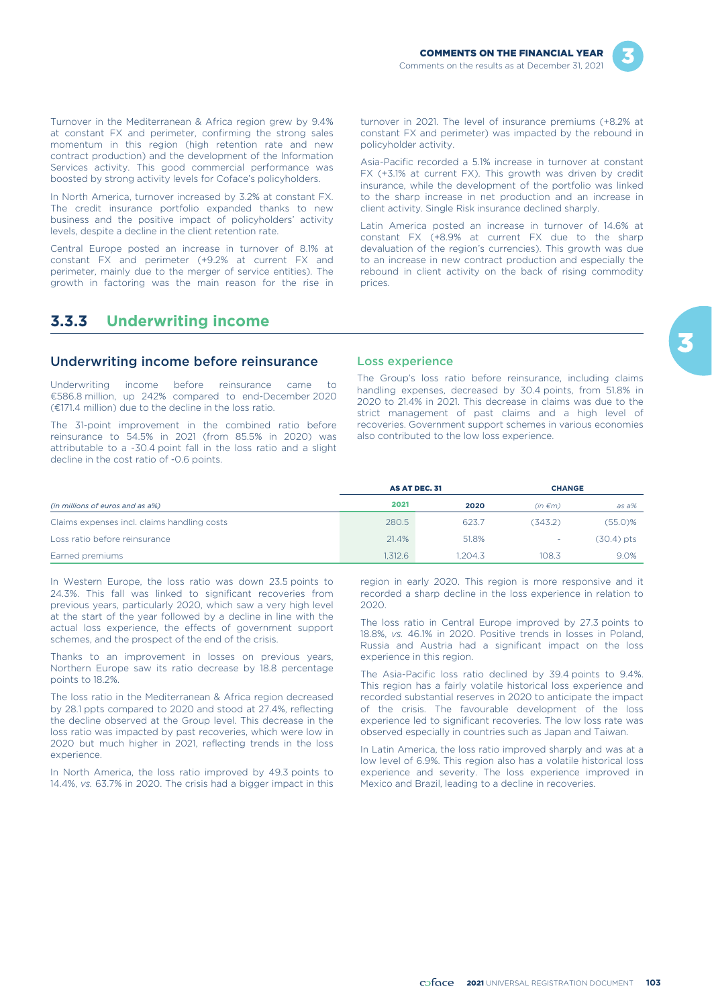

Turnover in the Mediterranean & Africa region grew by 9.4% at constant FX and perimeter, confirming the strong sales momentum in this region (high retention rate and new contract production) and the development of the Information Services activity. This good commercial performance was boosted by strong activity levels for Coface's policyholders.

In North America, turnover increased by 3.2% at constant FX. The credit insurance portfolio expanded thanks to new business and the positive impact of policyholders' activity levels, despite a decline in the client retention rate.

Central Europe posted an increase in turnover of 8.1% at constant FX and perimeter (+9.2% at current FX and perimeter, mainly due to the merger of service entities). The growth in factoring was the main reason for the rise in turnover in 2021. The level of insurance premiums (+8.2% at constant FX and perimeter) was impacted by the rebound in policyholder activity.

Asia-Pacific recorded a 5.1% increase in turnover at constant FX (+3.1% at current FX). This growth was driven by credit insurance, while the development of the portfolio was linked to the sharp increase in net production and an increase in client activity. Single Risk insurance declined sharply.

Latin America posted an increase in turnover of 14.6% at constant FX (+8.9% at current FX due to the sharp devaluation of the region's currencies). This growth was due to an increase in new contract production and especially the rebound in client activity on the back of rising commodity prices.

### **3.3.3 Underwriting income**

### Underwriting income before reinsurance

Underwriting income before reinsurance came to €586.8 million, up 242% compared to end-December 2020 (€171.4 million) due to the decline in the loss ratio.

The 31-point improvement in the combined ratio before reinsurance to 54.5% in 2021 (from 85.5% in 2020) was attributable to a -30.4 point fall in the loss ratio and a slight decline in the cost ratio of -0.6 points.

#### Loss experience

The Group's loss ratio before reinsurance, including claims handling expenses, decreased by 30.4 points, from 51.8% in 2020 to 21.4% in 2021. This decrease in claims was due to the strict management of past claims and a high level of recoveries. Government support schemes in various economies also contributed to the low loss experience.

|                                             | AS AT DEC. 31 |         | <b>CHANGE</b> |              |
|---------------------------------------------|---------------|---------|---------------|--------------|
| (in millions of euros and as a%)            | 2021          | 2020    | $(in \in m)$  | as a%        |
| Claims expenses incl. claims handling costs | 280.5         | 623.7   | (343.2)       | (55.0)%      |
| Loss ratio before reinsurance               | 21.4%         | 51.8%   |               | $(30.4)$ pts |
| Earned premiums                             | 1.312.6       | 1.204.3 | 108.3         | 9.0%         |

In Western Europe, the loss ratio was down 23.5 points to 24.3%. This fall was linked to significant recoveries from previous years, particularly 2020, which saw a very high level at the start of the year followed by a decline in line with the actual loss experience, the effects of government support schemes, and the prospect of the end of the crisis.

Thanks to an improvement in losses on previous years, Northern Europe saw its ratio decrease by 18.8 percentage points to 18.2%.

The loss ratio in the Mediterranean & Africa region decreased by 28.1 ppts compared to 2020 and stood at 27.4%, reflecting the decline observed at the Group level. This decrease in the loss ratio was impacted by past recoveries, which were low in 2020 but much higher in 2021, reflecting trends in the loss experience.

In North America, the loss ratio improved by 49.3 points to 14.4%, *vs.* 63.7% in 2020. The crisis had a bigger impact in this region in early 2020. This region is more responsive and it recorded a sharp decline in the loss experience in relation to 2020.

The loss ratio in Central Europe improved by 27.3 points to 18.8%, *vs.* 46.1% in 2020. Positive trends in losses in Poland, Russia and Austria had a significant impact on the loss experience in this region.

The Asia-Pacific loss ratio declined by 39.4 points to 9.4%. This region has a fairly volatile historical loss experience and recorded substantial reserves in 2020 to anticipate the impact of the crisis. The favourable development of the loss experience led to significant recoveries. The low loss rate was observed especially in countries such as Japan and Taiwan.

In Latin America, the loss ratio improved sharply and was at a low level of 6.9%. This region also has a volatile historical loss experience and severity. The loss experience improved in Mexico and Brazil, leading to a decline in recoveries.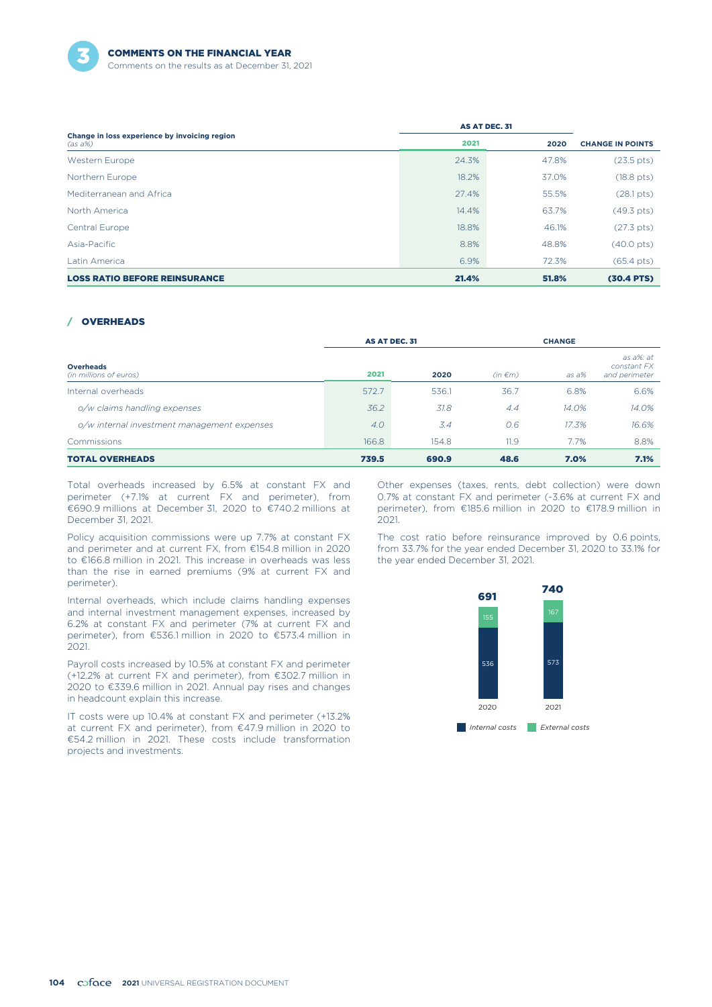

|                                                             | AS AT DEC. 31 |       |                         |
|-------------------------------------------------------------|---------------|-------|-------------------------|
| Change in loss experience by invoicing region<br>$(as a\%)$ | 2021          | 2020  | <b>CHANGE IN POINTS</b> |
| Western Europe                                              | 24.3%         | 47.8% | $(23.5 \text{ pts})$    |
| Northern Europe                                             | 18.2%         | 37.0% | $(18.8 \text{ pts})$    |
| Mediterranean and Africa                                    | 27.4%         | 55.5% | $(28.1 \text{ pts})$    |
| North America                                               | 14.4%         | 63.7% | $(49.3 \text{ pts})$    |
| Central Europe                                              | 18.8%         | 46.1% | $(27.3 \text{ pts})$    |
| Asia-Pacific                                                | 8.8%          | 48.8% | $(40.0 \text{ pts})$    |
| Latin America                                               | 6.9%          | 72.3% | $(65.4 \text{ pts})$    |
| <b>LOSS RATIO BEFORE REINSURANCE</b>                        | 21.4%         | 51.8% | $(30.4$ PTS)            |

### / OVERHEADS

|                                             | AS AT DEC. 31 |       |              | <b>CHANGE</b> |                                           |  |
|---------------------------------------------|---------------|-------|--------------|---------------|-------------------------------------------|--|
| <b>Overheads</b><br>(in millions of euros)  | 2021          | 2020  | $(in \in m)$ | $as\,a\%$     | as a%: at<br>constant FX<br>and perimeter |  |
| Internal overheads                          | 572.7         | 536.1 | 36.7         | 6.8%          | 6.6%                                      |  |
| o/w claims handling expenses                | 36.2          | 31.8  | 4.4          | 14.0%         | 14.0%                                     |  |
| o/w internal investment management expenses | 4.0           | 3.4   | O.6          | 17.3%         | 16.6%                                     |  |
| <b>Commissions</b>                          | 166.8         | 154.8 | 11.9         | 7.7%          | 8.8%                                      |  |
| <b>TOTAL OVERHEADS</b>                      | 739.5         | 690.9 | 48.6         | 7.0%          | 7.1%                                      |  |

Total overheads increased by 6.5% at constant FX and perimeter (+7.1% at current FX and perimeter), from €690.9 millions at December 31, 2020 to €740.2 millions at December 31, 2021.

Policy acquisition commissions were up 7.7% at constant FX and perimeter and at current FX, from €154.8 million in 2020 to €166.8 million in 2021. This increase in overheads was less than the rise in earned premiums (9% at current FX and perimeter).

Internal overheads, which include claims handling expenses and internal investment management expenses, increased by 6.2% at constant FX and perimeter (7% at current FX and perimeter), from €536.1 million in 2020 to €573.4 million in 2021.

Payroll costs increased by 10.5% at constant FX and perimeter (+12.2% at current FX and perimeter), from €302.7 million in 2020 to €339.6 million in 2021. Annual pay rises and changes in headcount explain this increase.

IT costs were up 10.4% at constant FX and perimeter (+13.2% at current FX and perimeter), from €47.9 million in 2020 to €54.2 million in 2021. These costs include transformation projects and investments.

Other expenses (taxes, rents, debt collection) were down 0.7% at constant FX and perimeter (-3.6% at current FX and perimeter), from €185.6 million in 2020 to €178.9 million in 2021.

The cost ratio before reinsurance improved by 0.6 points, from 33.7% for the year ended December 31, 2020 to 33.1% for the year ended December 31, 2021.

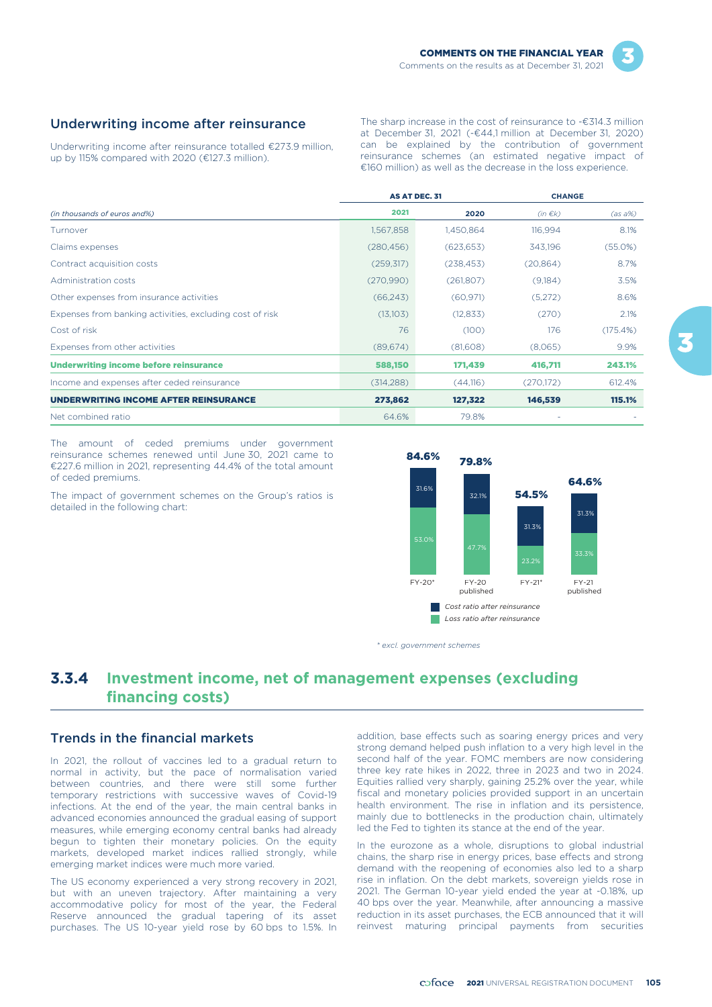### Underwriting income after reinsurance

Underwriting income after reinsurance totalled €273.9 million, up by 115% compared with 2020 (€127.3 million).

The sharp increase in the cost of reinsurance to -€314.3 million at December 31, 2021 (-€44,1 million at December 31, 2020) can be explained by the contribution of government reinsurance schemes (an estimated negative impact of €160 million) as well as the decrease in the loss experience.

|                                                          |            | <b>AS AT DEC. 31</b> | <b>CHANGE</b> |            |
|----------------------------------------------------------|------------|----------------------|---------------|------------|
| (in thousands of euros and%)                             | 2021       | 2020                 | $(in \in k)$  | $(as a\%)$ |
| Turnover                                                 | 1,567,858  | 1,450,864            | 116,994       | 8.1%       |
| Claims expenses                                          | (280, 456) | (623, 653)           | 343.196       | (55.0%)    |
| Contract acquisition costs                               | (259, 317) | (238, 453)           | (20, 864)     | 8.7%       |
| Administration costs                                     | (270,990)  | (261,807)            | (9,184)       | 3.5%       |
| Other expenses from insurance activities                 | (66, 243)  | (60, 971)            | (5,272)       | 8.6%       |
| Expenses from banking activities, excluding cost of risk | (13,103)   | (12, 833)            | (270)         | 2.1%       |
| Cost of risk                                             | 76         | (100)                | 176           | (175.4%)   |
| Expenses from other activities                           | (89,674)   | (81,608)             | (8,065)       | 9.9%       |
| <b>Underwriting income before reinsurance</b>            | 588,150    | 171,439              | 416,711       | 243.1%     |
| Income and expenses after ceded reinsurance              | (314, 288) | (44,116)             | (270, 172)    | 612.4%     |
| <b>UNDERWRITING INCOME AFTER REINSURANCE</b>             | 273,862    | 127,322              | 146,539       | 115.1%     |
| Net combined ratio                                       | 64.6%      | 79.8%                |               |            |

The amount of ceded premiums under government reinsurance schemes renewed until June 30, 2021 came to €227.6 million in 2021, representing 44.4% of the total amount of ceded premiums.

The impact of government schemes on the Group's ratios is detailed in the following chart:



*\* excl. government schemes*

# **3.3.4 Investment income, net of management expenses (excluding financing costs)**

### Trends in the financial markets

In 2021, the rollout of vaccines led to a gradual return to normal in activity, but the pace of normalisation varied between countries, and there were still some further temporary restrictions with successive waves of Covid-19 infections. At the end of the year, the main central banks in advanced economies announced the gradual easing of support measures, while emerging economy central banks had already begun to tighten their monetary policies. On the equity markets, developed market indices rallied strongly, while emerging market indices were much more varied.

The US economy experienced a very strong recovery in 2021, but with an uneven trajectory. After maintaining a very accommodative policy for most of the year, the Federal Reserve announced the gradual tapering of its asset purchases. The US 10-year yield rose by 60 bps to 1.5%. In

addition, base effects such as soaring energy prices and very strong demand helped push inflation to a very high level in the second half of the year. FOMC members are now considering three key rate hikes in 2022, three in 2023 and two in 2024. Equities rallied very sharply, gaining 25.2% over the year, while fiscal and monetary policies provided support in an uncertain health environment. The rise in inflation and its persistence, mainly due to bottlenecks in the production chain, ultimately led the Fed to tighten its stance at the end of the year.

In the eurozone as a whole, disruptions to global industrial chains, the sharp rise in energy prices, base effects and strong demand with the reopening of economies also led to a sharp rise in inflation. On the debt markets, sovereign yields rose in 2021. The German 10-year yield ended the year at -0.18%, up 40 bps over the year. Meanwhile, after announcing a massive reduction in its asset purchases, the ECB announced that it will reinvest maturing principal payments from securities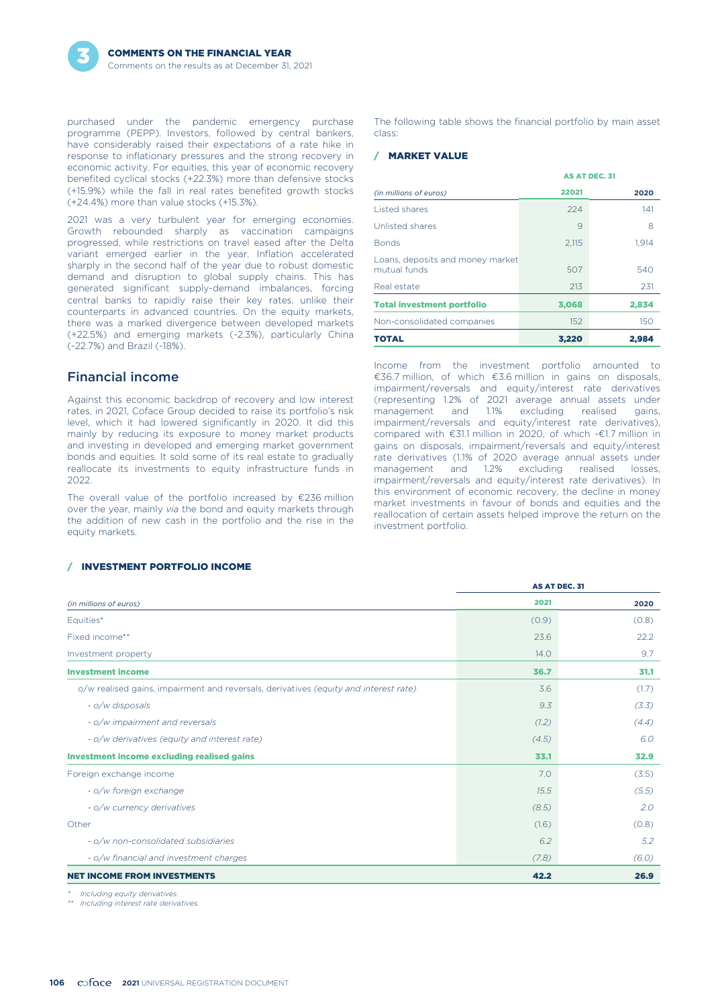purchased under the pandemic emergency purchase programme (PEPP). Investors, followed by central bankers, have considerably raised their expectations of a rate hike in response to inflationary pressures and the strong recovery in economic activity. For equities, this year of economic recovery benefited cyclical stocks (+22.3%) more than defensive stocks (+15.9%) while the fall in real rates benefited growth stocks (+24.4%) more than value stocks (+15.3%).

2021 was a very turbulent year for emerging economies. Growth rebounded sharply as vaccination campaigns progressed, while restrictions on travel eased after the Delta variant emerged earlier in the year. Inflation accelerated sharply in the second half of the year due to robust domestic demand and disruption to global supply chains. This has generated significant supply-demand imbalances, forcing central banks to rapidly raise their key rates, unlike their counterparts in advanced countries. On the equity markets, there was a marked divergence between developed markets (+22.5%) and emerging markets (-2.3%), particularly China (-22.7%) and Brazil (-18%).

### Financial income

Against this economic backdrop of recovery and low interest rates, in 2021, Coface Group decided to raise its portfolio's risk level, which it had lowered significantly in 2020. It did this mainly by reducing its exposure to money market products and investing in developed and emerging market government bonds and equities. It sold some of its real estate to gradually reallocate its investments to equity infrastructure funds in 2022.

The overall value of the portfolio increased by €236 million over the year, mainly *via* the bond and equity markets through the addition of new cash in the portfolio and the rise in the equity markets.

#### / INVESTMENT PORTFOLIO INCOME

The following table shows the financial portfolio by main asset class:

### / MARKET VALUE

|                                                  |       | <b>AS AT DEC. 31</b> |
|--------------------------------------------------|-------|----------------------|
| (in millions of euros)                           | 22021 | 2020                 |
| <b>Listed shares</b>                             | 224   | 141                  |
| Unlisted shares                                  | 9     | 8                    |
| <b>Bonds</b>                                     | 2.115 | 1,914                |
| Loans, deposits and money market<br>mutual funds | 507   | 540                  |
| Real estate                                      | 213   | 231                  |
| <b>Total investment portfolio</b>                | 3,068 | 2,834                |
| Non-consolidated companies                       | 152   | 150                  |
| <b>TOTAL</b>                                     | 3.220 | 2.984                |

Income from the investment portfolio amounted to €36.7 million, of which €3.6 million in gains on disposals, impairment/reversals and equity/interest rate derivatives (representing 1.2% of 2021 average annual assets under excluding realised gains, impairment/reversals and equity/interest rate derivatives), compared with €31.1 million in 2020, of which -€1.7 million in gains on disposals, impairment/reversals and equity/interest rate derivatives (1.1% of 2020 average annual assets under management and 1.2% excluding realised losses, impairment/reversals and equity/interest rate derivatives). In this environment of economic recovery, the decline in money market investments in favour of bonds and equities and the reallocation of certain assets helped improve the return on the investment portfolio.

|                                                                                      |       | AS AT DEC. 31 |
|--------------------------------------------------------------------------------------|-------|---------------|
| (in millions of euros)                                                               | 2021  | 2020          |
| Equities*                                                                            | (0.9) | (0.8)         |
| Fixed income**                                                                       | 23.6  | 22.2          |
| Investment property                                                                  | 14.0  | 9.7           |
| <b>Investment income</b>                                                             | 36.7  | 31.1          |
| o/w realised gains, impairment and reversals, derivatives (equity and interest rate) | 3.6   | (1.7)         |
| - o/w disposals                                                                      | 9.3   | (3.3)         |
| - o/w impairment and reversals                                                       | (1.2) | (4.4)         |
| - o/w derivatives (equity and interest rate)                                         | (4.5) | 6.0           |
| <b>Investment income excluding realised gains</b>                                    | 33.1  | 32.9          |
| Foreign exchange income                                                              | 7.0   | (3.5)         |
| - o/w foreign exchange                                                               | 15.5  | (5.5)         |
| - o/w currency derivatives                                                           | (8.5) | 2.0           |
| Other                                                                                | (1.6) | (0.8)         |
| - o/w non-consolidated subsidiaries                                                  | 6.2   | 5.2           |
| - o/w financial and investment charges                                               | (7.8) | (6.0)         |
| <b>NET INCOME FROM INVESTMENTS</b>                                                   | 42.2  | 26.9          |

*\* Including equity derivatives.*

*\*\* Including interest rate derivatives.*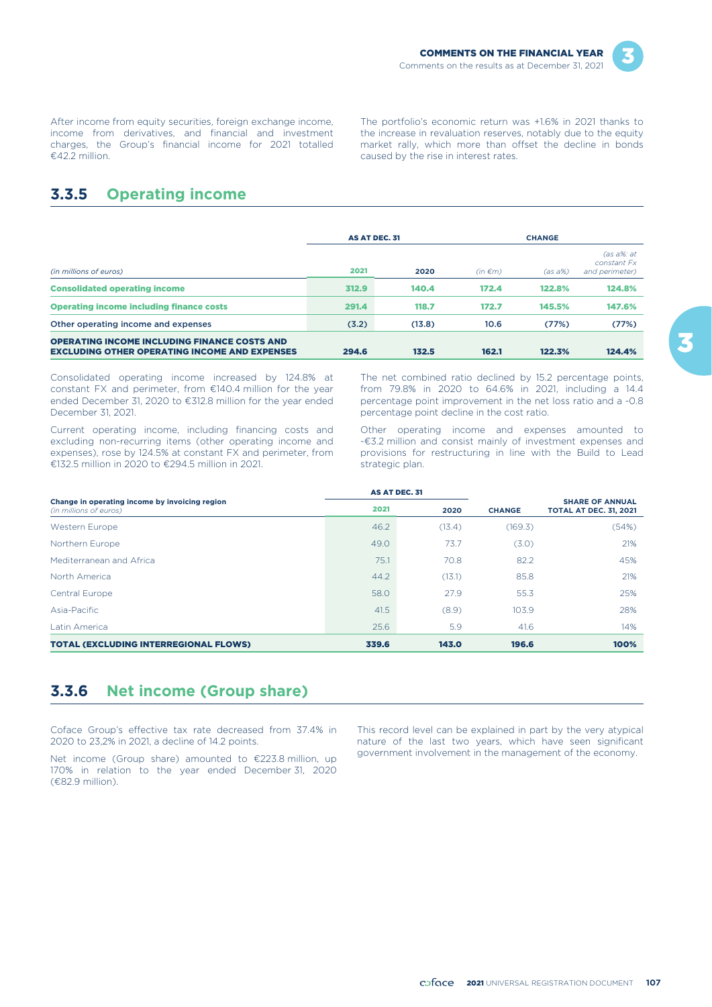

After income from equity securities, foreign exchange income, income from derivatives, and financial and investment charges, the Group's financial income for 2021 totalled €42.2 million.

The portfolio's economic return was +1.6% in 2021 thanks to the increase in revaluation reserves, notably due to the equity market rally, which more than offset the decline in bonds caused by the rise in interest rates.

# **3.3.5 Operating income**

|                                                                                                             | <b>AS AT DEC. 31</b> |        |              | <b>CHANGE</b> |                                                |  |
|-------------------------------------------------------------------------------------------------------------|----------------------|--------|--------------|---------------|------------------------------------------------|--|
| (in millions of euros)                                                                                      | 2021                 | 2020   | $(in \in m)$ | $(as a\%)$    | $(as\ a\%:at$<br>constant Fx<br>and perimeter) |  |
| <b>Consolidated operating income</b>                                                                        | 312.9                | 140.4  | 172.4        | 122.8%        | 124.8%                                         |  |
| <b>Operating income including finance costs</b>                                                             | 291.4                | 118.7  | 172.7        | 145.5%        | 147.6%                                         |  |
| Other operating income and expenses                                                                         | (3.2)                | (13.8) | 10.6         | (77%)         | (77%)                                          |  |
| <b>OPERATING INCOME INCLUDING FINANCE COSTS AND</b><br><b>EXCLUDING OTHER OPERATING INCOME AND EXPENSES</b> | 294.6                | 132.5  | 162.1        | 122.3%        | 124.4%                                         |  |

Consolidated operating income increased by 124.8% at constant FX and perimeter, from €140.4 million for the year ended December 31, 2020 to €312.8 million for the year ended December 31, 2021.

Current operating income, including financing costs and excluding non-recurring items (other operating income and expenses), rose by 124.5% at constant FX and perimeter, from €132.5 million in 2020 to €294.5 million in 2021.

The net combined ratio declined by 15.2 percentage points, from 79.8% in 2020 to 64.6% in 2021, including a 14.4 percentage point improvement in the net loss ratio and a -0.8 percentage point decline in the cost ratio.

Other operating income and expenses amounted to -€3.2 million and consist mainly of investment expenses and provisions for restructuring in line with the Build to Lead strategic plan.

|                                                                          | AS AT DEC. 31 |        |               |                                                         |
|--------------------------------------------------------------------------|---------------|--------|---------------|---------------------------------------------------------|
| Change in operating income by invoicing region<br>(in millions of euros) | 2021          | 2020   | <b>CHANGE</b> | <b>SHARE OF ANNUAL</b><br><b>TOTAL AT DEC. 31, 2021</b> |
| <b>Western Europe</b>                                                    | 46.2          | (13.4) | (169.3)       | (54%)                                                   |
| Northern Europe                                                          | 49.0          | 73.7   | (3.0)         | 21%                                                     |
| Mediterranean and Africa                                                 | 75.1          | 70.8   | 82.2          | 45%                                                     |
| North America                                                            | 44.2          | (13.1) | 85.8          | 21%                                                     |
| Central Europe                                                           | 58.0          | 27.9   | 55.3          | 25%                                                     |
| Asia-Pacific                                                             | 41.5          | (8.9)  | 103.9         | 28%                                                     |
| Latin America                                                            | 25.6          | 5.9    | 41.6          | 14%                                                     |
| <b>TOTAL (EXCLUDING INTERREGIONAL FLOWS)</b>                             | 339.6         | 143.0  | 196.6         | 100%                                                    |

# **3.3.6 Net income (Group share)**

Coface Group's effective tax rate decreased from 37.4% in 2020 to 23,2% in 2021, a decline of 14.2 points.

Net income (Group share) amounted to €223.8 million, up 170% in relation to the year ended December 31, 2020 (€82.9 million).

This record level can be explained in part by the very atypical nature of the last two years, which have seen significant government involvement in the management of the economy.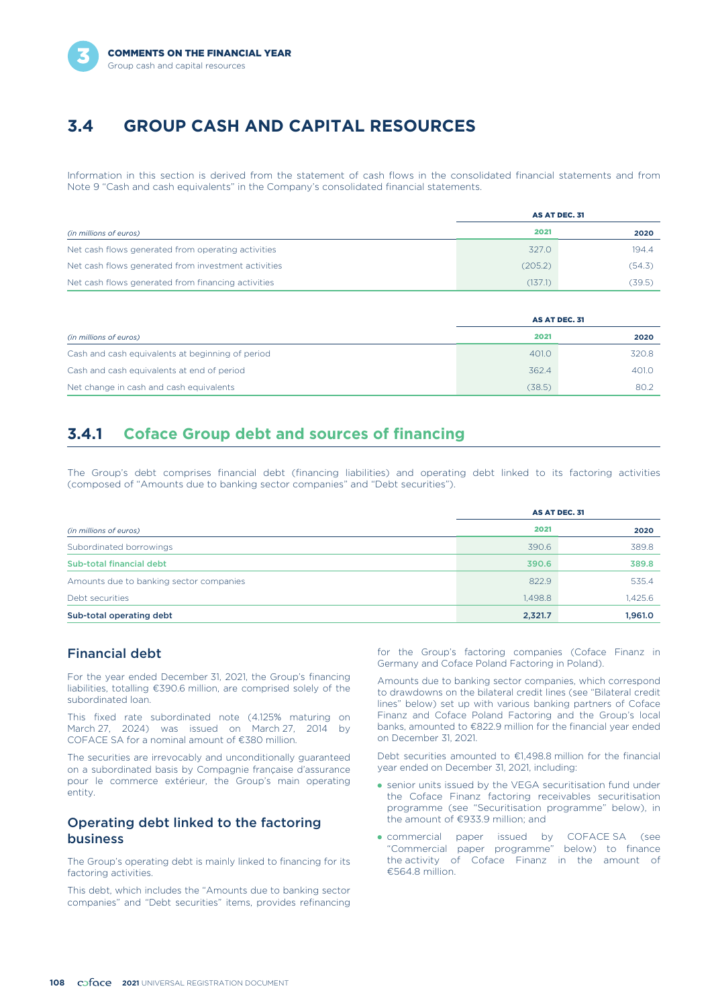

# **3.4 GROUP CASH AND CAPITAL RESOURCES**

Information in this section is derived from the statement of cash flows in the consolidated financial statements and from Note 9 "Cash and cash equivalents" in the Company's consolidated financial statements.

|                                                     |         | AS AT DEC. 31 |
|-----------------------------------------------------|---------|---------------|
| (in millions of euros)                              | 2021    | 2020          |
| Net cash flows generated from operating activities  | 327.0   | 194.4         |
| Net cash flows generated from investment activities | (205.2) | (54.3)        |
| Net cash flows generated from financing activities  | (137.1) | (39.5)        |

|                                                  | AS AT DEC. 31 |       |  |
|--------------------------------------------------|---------------|-------|--|
| (in millions of euros)                           | 2021          | 2020  |  |
| Cash and cash equivalents at beginning of period | 401.0         | 320.8 |  |
| Cash and cash equivalents at end of period       | 362.4         | 401.0 |  |
| Net change in cash and cash equivalents          | (38.5)        | 80.2  |  |

# **3.4.1 Coface Group debt and sources of financing**

The Group's debt comprises financial debt (financing liabilities) and operating debt linked to its factoring activities (composed of "Amounts due to banking sector companies" and "Debt securities").

|                                         | AS AT DEC. 31 |         |
|-----------------------------------------|---------------|---------|
| (in millions of euros)                  | 2021          | 2020    |
| Subordinated borrowings                 | 390.6         | 389.8   |
| Sub-total financial debt                | 390.6         | 389.8   |
| Amounts due to banking sector companies | 822.9         | 535.4   |
| Debt securities                         | 1,498.8       | 1,425.6 |
| Sub-total operating debt                | 2,321.7       | 1,961.0 |

### Financial debt

For the year ended December 31, 2021, the Group's financing liabilities, totalling €390.6 million, are comprised solely of the subordinated loan.

This fixed rate subordinated note (4.125% maturing on March 27, 2024) was issued on March 27, 2014 by COFACE SA for a nominal amount of €380 million.

The securities are irrevocably and unconditionally guaranteed on a subordinated basis by Compagnie française d'assurance pour le commerce extérieur, the Group's main operating entity.

### Operating debt linked to the factoring business

The Group's operating debt is mainly linked to financing for its factoring activities.

This debt, which includes the "Amounts due to banking sector companies" and "Debt securities" items, provides refinancing

for the Group's factoring companies (Coface Finanz in Germany and Coface Poland Factoring in Poland).

Amounts due to banking sector companies, which correspond to drawdowns on the bilateral credit lines (see "Bilateral credit lines" below) set up with various banking partners of Coface Finanz and Coface Poland Factoring and the Group's local banks, amounted to €822.9 million for the financial year ended on December 31, 2021.

Debt securities amounted to €1,498.8 million for the financial year ended on December 31, 2021, including:

- senior units issued by the VEGA securitisation fund under the Coface Finanz factoring receivables securitisation programme (see "Securitisation programme" below), in the amount of €933.9 million; and
- commercial paper issued by COFACE SA (see "Commercial paper programme" below) to finance the activity of Coface Finanz in the amount of €564.8 million.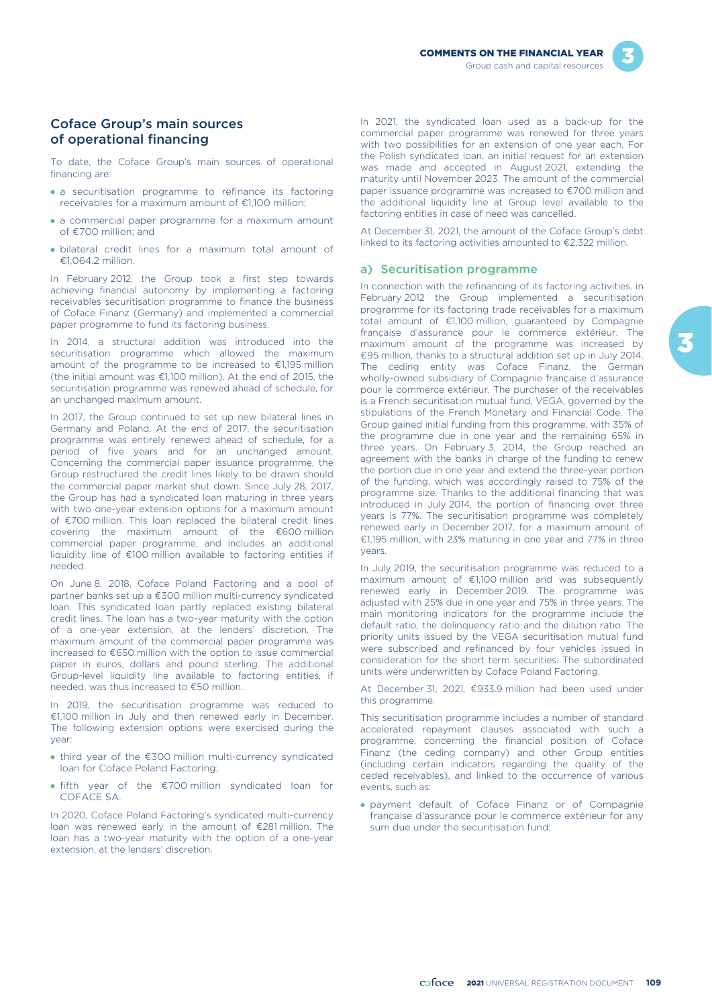

### Coface Group's main sources of operational financing

To date, the Coface Group's main sources of operational financing are:

- a securitisation programme to refinance its factoring receivables for a maximum amount of €1,100 million;
- a commercial paper programme for a maximum amount of €700 million; and
- bilateral credit lines for a maximum total amount of €1,064.2 million.

In February 2012, the Group took a first step towards achieving financial autonomy by implementing a factoring receivables securitisation programme to finance the business of Coface Finanz (Germany) and implemented a commercial paper programme to fund its factoring business.

In 2014, a structural addition was introduced into the securitisation programme which allowed the maximum amount of the programme to be increased to €1,195 million (the initial amount was €1,100 million). At the end of 2015, the securitisation programme was renewed ahead of schedule, for an unchanged maximum amount.

In 2017, the Group continued to set up new bilateral lines in Germany and Poland. At the end of 2017, the securitisation programme was entirely renewed ahead of schedule, for a period of five years and for an unchanged amount. Concerning the commercial paper issuance programme, the Group restructured the credit lines likely to be drawn should the commercial paper market shut down. Since July 28, 2017, the Group has had a syndicated loan maturing in three years with two one-year extension options for a maximum amount of €700 million. This loan replaced the bilateral credit lines covering the maximum amount of the €600 million commercial paper programme, and includes an additional liquidity line of €100 million available to factoring entities if needed.

On June 8, 2018, Coface Poland Factoring and a pool of partner banks set up a €300 million multi-currency syndicated loan. This syndicated loan partly replaced existing bilateral credit lines. The loan has a two-year maturity with the option of a one-year extension, at the lenders' discretion. The maximum amount of the commercial paper programme was increased to €650 million with the option to issue commercial paper in euros, dollars and pound sterling. The additional Group-level liquidity line available to factoring entities, if needed, was thus increased to €50 million.

In 2019, the securitisation programme was reduced to €1,100 million in July and then renewed early in December. The following extension options were exercised during the year:

- third year of the €300 million multi-currency syndicated loan for Coface Poland Factoring;
- fifth year of the €700 million syndicated loan for COFACE SA.

In 2020, Coface Poland Factoring's syndicated multi-currency loan was renewed early in the amount of €281 million. The loan has a two-year maturity with the option of a one-year extension, at the lenders' discretion.

In 2021, the syndicated loan used as a back-up for the commercial paper programme was renewed for three years with two possibilities for an extension of one year each. For the Polish syndicated loan, an initial request for an extension was made and accepted in August 2021, extending the maturity until November 2023. The amount of the commercial paper issuance programme was increased to €700 million and the additional liquidity line at Group level available to the factoring entities in case of need was cancelled.

At December 31, 2021, the amount of the Coface Group's debt linked to its factoring activities amounted to €2,322 million.

### a) Securitisation programme

In connection with the refinancing of its factoring activities, in February 2012 the Group implemented a securitisation programme for its factoring trade receivables for a maximum total amount of €1,100 million, guaranteed by Compagnie française d'assurance pour le commerce extérieur. The maximum amount of the programme was increased by €95 million, thanks to a structural addition set up in July 2014. The ceding entity was Coface Finanz, the German wholly-owned subsidiary of Compagnie française d'assurance pour le commerce extérieur. The purchaser of the receivables is a French securitisation mutual fund, VEGA, governed by the stipulations of the French Monetary and Financial Code. The Group gained initial funding from this programme, with 35% of the programme due in one year and the remaining 65% in three years. On February 3, 2014, the Group reached an agreement with the banks in charge of the funding to renew the portion due in one year and extend the three-year portion of the funding, which was accordingly raised to 75% of the programme size. Thanks to the additional financing that was introduced in July 2014, the portion of financing over three years is 77%. The securitisation programme was completely renewed early in December 2017, for a maximum amount of €1,195 million, with 23% maturing in one year and 77% in three years.

In July 2019, the securitisation programme was reduced to a maximum amount of €1,100 million and was subsequently renewed early in December 2019. The programme was adjusted with 25% due in one year and 75% in three years. The main monitoring indicators for the programme include the default ratio, the delinquency ratio and the dilution ratio. The priority units issued by the VEGA securitisation mutual fund were subscribed and refinanced by four vehicles issued in consideration for the short term securities. The subordinated units were underwritten by Coface Poland Factoring.

At December 31, 2021, €933.9 million had been used under this programme.

This securitisation programme includes a number of standard accelerated repayment clauses associated with such a programme, concerning the financial position of Coface Finanz (the ceding company) and other Group entities (including certain indicators regarding the quality of the ceded receivables), and linked to the occurrence of various events, such as:

- payment default of Coface Finanz or of Compagnie française d'assurance pour le commerce extérieur for any sum due under the securitisation fund;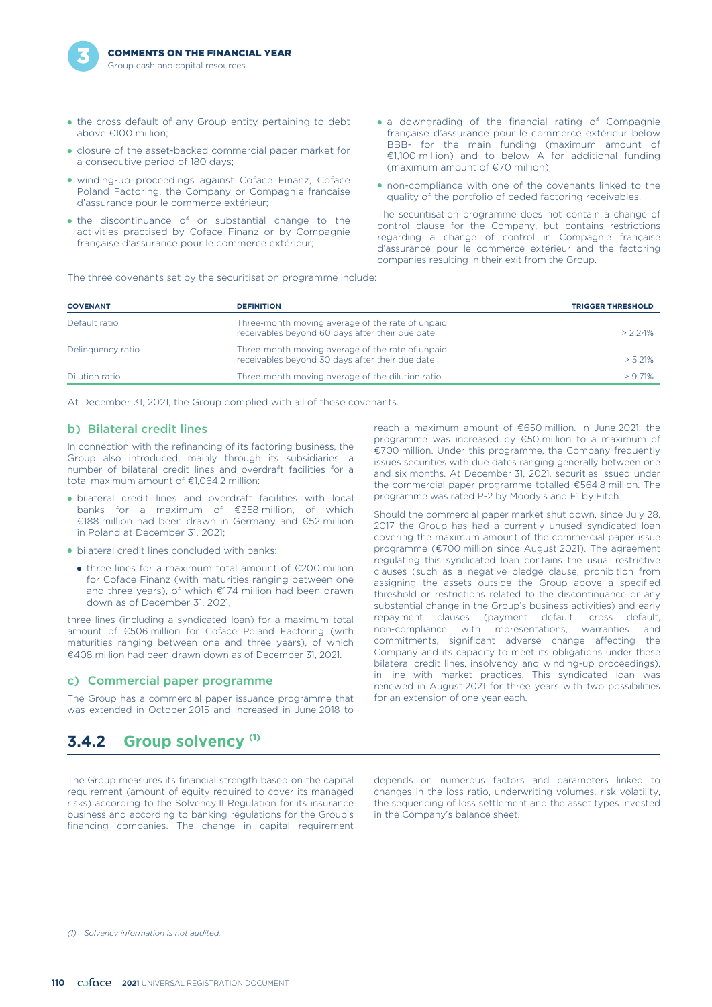

- the cross default of any Group entity pertaining to debt above €100 million;
- closure of the asset-backed commercial paper market for a consecutive period of 180 days;
- winding-up proceedings against Coface Finanz, Coface Poland Factoring, the Company or Compagnie française d'assurance pour le commerce extérieur;
- the discontinuance of or substantial change to the activities practised by Coface Finanz or by Compagnie française d'assurance pour le commerce extérieur;
- a downgrading of the financial rating of Compagnie française d'assurance pour le commerce extérieur below BBB- for the main funding (maximum amount of €1,100 million) and to below A for additional funding (maximum amount of €70 million);
- non-compliance with one of the covenants linked to the quality of the portfolio of ceded factoring receivables.

The securitisation programme does not contain a change of control clause for the Company, but contains restrictions regarding a change of control in Compagnie française d'assurance pour le commerce extérieur and the factoring companies resulting in their exit from the Group.

The three covenants set by the securitisation programme include:

| <b>COVENANT</b>   | <b>DEFINITION</b>                                                                                   | <b>TRIGGER THRESHOLD</b> |
|-------------------|-----------------------------------------------------------------------------------------------------|--------------------------|
| Default ratio     | Three-month moving average of the rate of unpaid<br>receivables beyond 60 days after their due date | $> 2.24\%$               |
| Delinguency ratio | Three-month moving average of the rate of unpaid<br>receivables beyond 30 days after their due date | > 5.21%                  |
| Dilution ratio    | Three-month moving average of the dilution ratio                                                    | $> 9.71\%$               |
|                   |                                                                                                     |                          |

At December 31, 2021, the Group complied with all of these covenants.

### b) Bilateral credit lines

In connection with the refinancing of its factoring business, the Group also introduced, mainly through its subsidiaries, a number of bilateral credit lines and overdraft facilities for a total maximum amount of €1,064.2 million:

- bilateral credit lines and overdraft facilities with local banks for a maximum of €358 million, of which €188 million had been drawn in Germany and €52 million in Poland at December 31, 2021;
- bilateral credit lines concluded with banks:
	- three lines for a maximum total amount of €200 million for Coface Finanz (with maturities ranging between one and three years), of which €174 million had been drawn down as of December 31, 2021,

three lines (including a syndicated loan) for a maximum total amount of €506 million for Coface Poland Factoring (with maturities ranging between one and three years), of which €408 million had been drawn down as of December 31, 2021.

#### c) Commercial paper programme

The Group has a commercial paper issuance programme that was extended in October 2015 and increased in June 2018 to

#### reach a maximum amount of €650 million. In June 2021, the programme was increased by €50 million to a maximum of €700 million. Under this programme, the Company frequently issues securities with due dates ranging generally between one and six months. At December 31, 2021, securities issued under the commercial paper programme totalled €564.8 million. The programme was rated P-2 by Moody's and F1 by Fitch.

Should the commercial paper market shut down, since July 28, 2017 the Group has had a currently unused syndicated loan covering the maximum amount of the commercial paper issue programme (€700 million since August 2021). The agreement regulating this syndicated loan contains the usual restrictive clauses (such as a negative pledge clause, prohibition from assigning the assets outside the Group above a specified threshold or restrictions related to the discontinuance or any substantial change in the Group's business activities) and early repayment clauses (payment default, cross default, non-compliance with representations, warranties and commitments, significant adverse change affecting the Company and its capacity to meet its obligations under these bilateral credit lines, insolvency and winding-up proceedings), in line with market practices. This syndicated loan was renewed in August 2021 for three years with two possibilities for an extension of one year each.

# **Group solvency (1) 3.4.2**

The Group measures its financial strength based on the capital depends on numerous factors and parameters linked to requirement (amount of equity required to cover its managed changes in the loss ratio, underwriting volume requirement (amount of equity required to cover its managed changes in the loss ratio, underwriting volumes, risk volatility, risks) according to the Solvency II Regulation for its insurance the sequencing of loss settleme risks) according to the Solvency II Regulation for its insurance business and according to banking regulations for the Group's in the Company's balance sheet. financing companies. The change in capital requirement

*(1) Solvency information is not audited.*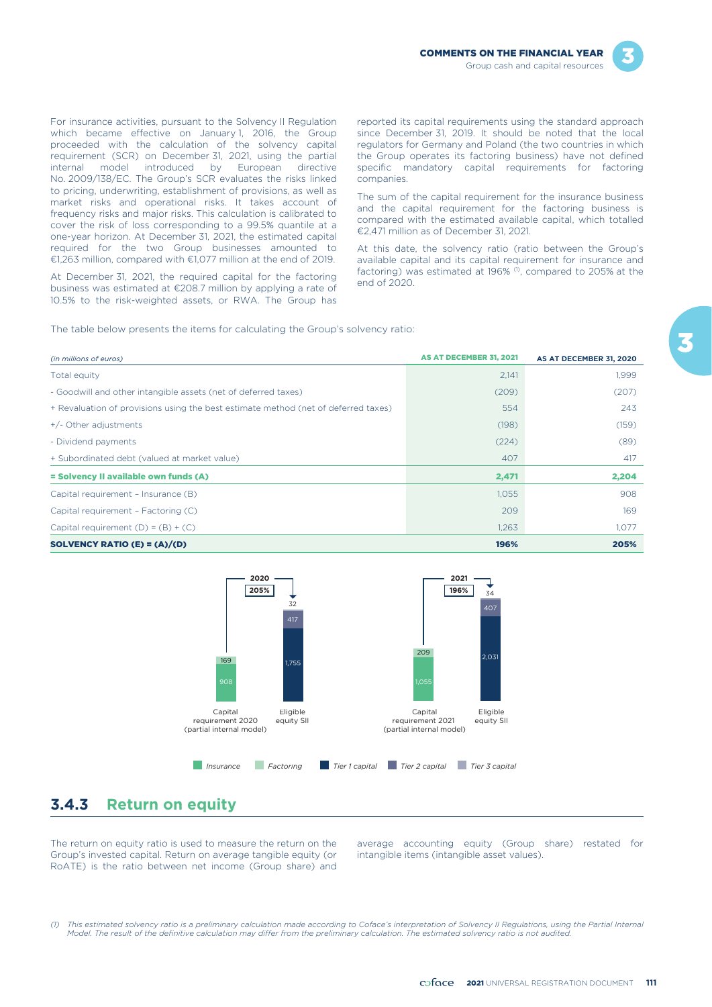



For insurance activities, pursuant to the Solvency II Regulation which became effective on January 1, 2016, the Group proceeded with the calculation of the solvency capital requirement (SCR) on December 31, 2021, using the partial internal model introduced by European directive No. 2009/138/EC. The Group's SCR evaluates the risks linked to pricing, underwriting, establishment of provisions, as well as market risks and operational risks. It takes account of frequency risks and major risks. This calculation is calibrated to cover the risk of loss corresponding to a 99.5% quantile at a one-year horizon. At December 31, 2021, the estimated capital required for the two Group businesses amounted to €1,263 million, compared with €1,077 million at the end of 2019.

At December 31, 2021, the required capital for the factoring business was estimated at €208.7 million by applying a rate of 10.5% to the risk-weighted assets, or RWA. The Group has reported its capital requirements using the standard approach since December 31, 2019. It should be noted that the local regulators for Germany and Poland (the two countries in which the Group operates its factoring business) have not defined specific mandatory capital requirements for factoring companies.

The sum of the capital requirement for the insurance business and the capital requirement for the factoring business is compared with the estimated available capital, which totalled €2,471 million as of December 31, 2021.

At this date, the solvency ratio (ratio between the Group's available capital and its capital requirement for insurance and factoring) was estimated at 196%  $(1)$ , compared to 205% at the end of 2020.

The table below presents the items for calculating the Group's solvency ratio:

| (in millions of euros)                                                             | AS AT DECEMBER 31, 2021 | AS AT DECEMBER 31, 2020 |
|------------------------------------------------------------------------------------|-------------------------|-------------------------|
| Total equity                                                                       | 2,141                   | 1,999                   |
| - Goodwill and other intangible assets (net of deferred taxes)                     | (209)                   | (207)                   |
| + Revaluation of provisions using the best estimate method (net of deferred taxes) | 554                     | 243                     |
| $+/-$ Other adjustments                                                            | (198)                   | (159)                   |
| - Dividend payments                                                                | (224)                   | (89)                    |
| + Subordinated debt (valued at market value)                                       | 407                     | 417                     |
| = Solvency II available own funds (A)                                              | 2,471                   | 2,204                   |
| Capital requirement - Insurance (B)                                                | 1,055                   | 908                     |
| Capital requirement - Factoring (C)                                                | 209                     | 169                     |
| Capital requirement $(D) = (B) + (C)$                                              | 1,263                   | 1,077                   |
| SOLVENCY RATIO (E) = $(A)/(D)$                                                     | 196%                    | 205%                    |



# **3.4.3 Return on equity**

Group's invested capital. Return on average tangible equity (or intangible items (intangible asset values). RoATE) is the ratio between net income (Group share) and

The return on equity ratio is used to measure the return on the average accounting equity (Group share) restated for

*(1) This estimated solvency ratio is a preliminary calculation made according to Coface's interpretation of Solvency II Regulations, using the Partial Internal Model. The result of the definitive calculation may differ from the preliminary calculation. The estimated solvency ratio is not audited.*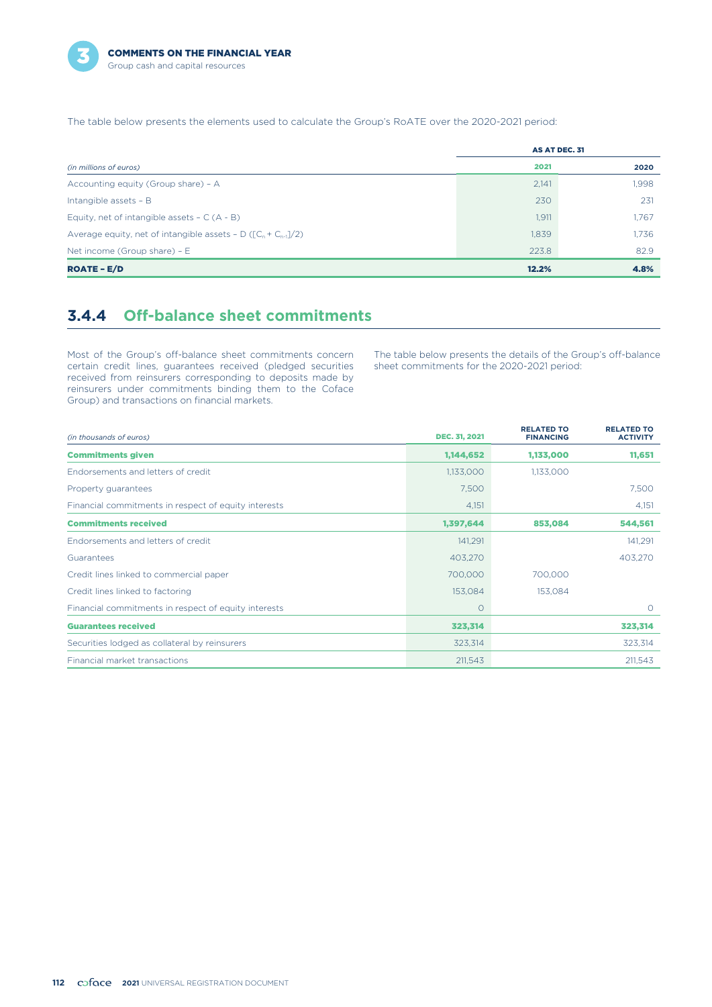

The table below presents the elements used to calculate the Group's RoATE over the 2020-2021 period:

|                                                                    | AS AT DEC. 31 |       |
|--------------------------------------------------------------------|---------------|-------|
| (in millions of euros)                                             | 2021          | 2020  |
| Accounting equity (Group share) - A                                | 2,141         | 1,998 |
| Intangible assets - B                                              | 230           | 231   |
| Equity, net of intangible assets $- C (A - B)$                     | 1,911         | 1,767 |
| Average equity, net of intangible assets - $D ([C_n + C_{n-1}]/2)$ | 1,839         | 1.736 |
| Net income (Group share) - $E$                                     | 223.8         | 82.9  |
| <b>ROATE - E/D</b>                                                 | 12.2%         | 4.8%  |

# **3.4.4 Off-balance sheet commitments**

Most of the Group's off-balance sheet commitments concern certain credit lines, guarantees received (pledged securities received from reinsurers corresponding to deposits made by reinsurers under commitments binding them to the Coface Group) and transactions on financial markets.

The table below presents the details of the Group's off-balance sheet commitments for the 2020-2021 period:

| (in thousands of euros)                              | <b>DEC. 31, 2021</b> | <b>RELATED TO</b><br><b>FINANCING</b> | <b>RELATED TO</b><br><b>ACTIVITY</b> |
|------------------------------------------------------|----------------------|---------------------------------------|--------------------------------------|
| <b>Commitments given</b>                             | 1,144,652            | 1,133,000                             | 11,651                               |
| Endorsements and letters of credit                   | 1,133,000            | 1,133,000                             |                                      |
| Property guarantees                                  | 7,500                |                                       | 7,500                                |
| Financial commitments in respect of equity interests | 4,151                |                                       | 4,151                                |
| <b>Commitments received</b>                          | 1,397,644            | 853,084                               | 544,561                              |
| Endorsements and letters of credit                   | 141.291              |                                       | 141,291                              |
| Guarantees                                           | 403,270              |                                       | 403,270                              |
| Credit lines linked to commercial paper              | 700,000              | 700,000                               |                                      |
| Credit lines linked to factoring                     | 153,084              | 153,084                               |                                      |
| Financial commitments in respect of equity interests | $\circ$              |                                       | $\Omega$                             |
| <b>Guarantees received</b>                           | 323,314              |                                       | 323,314                              |
| Securities lodged as collateral by reinsurers        | 323,314              |                                       | 323,314                              |
| Financial market transactions                        | 211,543              |                                       | 211,543                              |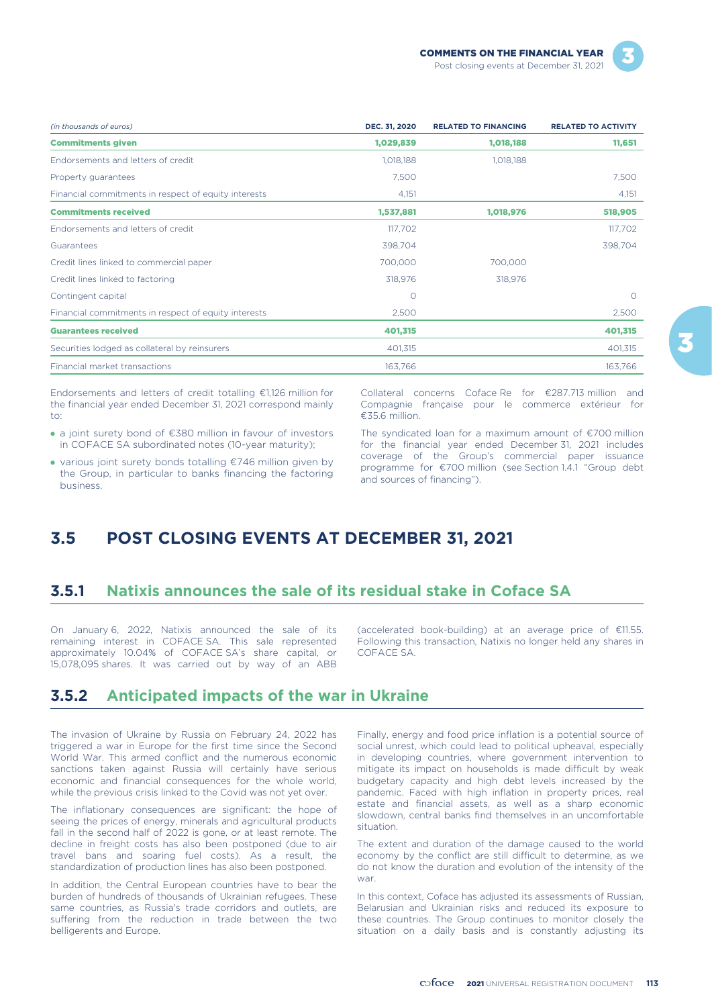| (in thousands of euros)                              | DEC. 31, 2020 | <b>RELATED TO FINANCING</b> | <b>RELATED TO ACTIVITY</b> |
|------------------------------------------------------|---------------|-----------------------------|----------------------------|
| <b>Commitments given</b>                             | 1,029,839     | 1,018,188                   | 11,651                     |
| Endorsements and letters of credit                   | 1,018,188     | 1,018,188                   |                            |
| Property guarantees                                  | 7,500         |                             | 7,500                      |
| Financial commitments in respect of equity interests | 4,151         |                             | 4,151                      |
| <b>Commitments received</b>                          | 1,537,881     | 1,018,976                   | 518,905                    |
| Endorsements and letters of credit                   | 117,702       |                             | 117,702                    |
| Guarantees                                           | 398,704       |                             | 398,704                    |
| Credit lines linked to commercial paper              | 700,000       | 700,000                     |                            |
| Credit lines linked to factoring                     | 318,976       | 318,976                     |                            |
| Contingent capital                                   | $\Omega$      |                             | $\Omega$                   |
| Financial commitments in respect of equity interests | 2,500         |                             | 2,500                      |
| <b>Guarantees received</b>                           | 401,315       |                             | 401,315                    |
| Securities lodged as collateral by reinsurers        | 401,315       |                             | 401,315                    |
| Financial market transactions                        | 163,766       |                             | 163,766                    |

Endorsements and letters of credit totalling €1,126 million for the financial year ended December 31, 2021 correspond mainly  $t^{\circ}$ 

- l a joint surety bond of €380 million in favour of investors in COFACE SA subordinated notes (10-year maturity);
- various joint surety bonds totalling €746 million given by the Group, in particular to banks financing the factoring business.

Collateral concerns Coface Re for €287.713 million and Compagnie française pour le commerce extérieur for €35.6 million.

The syndicated loan for a maximum amount of €700 million for the financial year ended December 31, 2021 includes coverage of the Group's commercial paper issuance programme for €700 million (see Section 1.4.1 "Group debt and sources of financing").

# **3.5 POST CLOSING EVENTS AT DECEMBER 31, 2021**

# **3.5.1 Natixis announces the sale of its residual stake in Coface SA**

On January 6, 2022, Natixis announced the sale of its (accelerated book-building) at an average price of €11.55. approximately 10.04% of COFACE SA's share capital, or COFACE SA. 15,078,095 shares. It was carried out by way of an ABB

remaining interest in COFACE SA. This sale represented Following this transaction, Natixis no longer held any shares in

# **3.5.2 Anticipated impacts of the war in Ukraine**

The invasion of Ukraine by Russia on February 24, 2022 has triggered a war in Europe for the first time since the Second World War. This armed conflict and the numerous economic sanctions taken against Russia will certainly have serious economic and financial consequences for the whole world, while the previous crisis linked to the Covid was not yet over.

The inflationary consequences are significant: the hope of seeing the prices of energy, minerals and agricultural products fall in the second half of 2022 is gone, or at least remote. The decline in freight costs has also been postponed (due to air travel bans and soaring fuel costs). As a result, the standardization of production lines has also been postponed.

In addition, the Central European countries have to bear the burden of hundreds of thousands of Ukrainian refugees. These same countries, as Russia's trade corridors and outlets, are suffering from the reduction in trade between the two belligerents and Europe.

Finally, energy and food price inflation is a potential source of social unrest, which could lead to political upheaval, especially in developing countries, where government intervention to mitigate its impact on households is made difficult by weak budgetary capacity and high debt levels increased by the pandemic. Faced with high inflation in property prices, real estate and financial assets, as well as a sharp economic slowdown, central banks find themselves in an uncomfortable situation.

The extent and duration of the damage caused to the world economy by the conflict are still difficult to determine, as we do not know the duration and evolution of the intensity of the war.

In this context, Coface has adjusted its assessments of Russian, Belarusian and Ukrainian risks and reduced its exposure to these countries. The Group continues to monitor closely the situation on a daily basis and is constantly adjusting its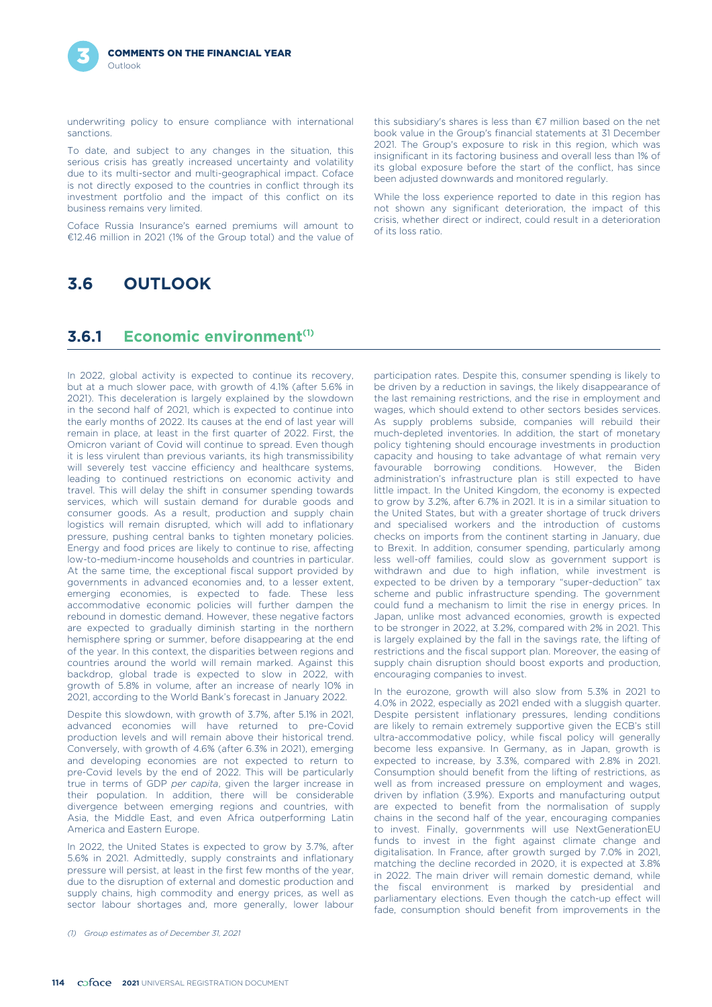

underwriting policy to ensure compliance with international sanctions.

To date, and subject to any changes in the situation, this serious crisis has greatly increased uncertainty and volatility due to its multi-sector and multi-geographical impact. Coface is not directly exposed to the countries in conflict through its investment portfolio and the impact of this conflict on its business remains very limited.

Coface Russia Insurance's earned premiums will amount to €12.46 million in 2021 (1% of the Group total) and the value of

this subsidiary's shares is less than €7 million based on the net book value in the Group's financial statements at 31 December 2021. The Group's exposure to risk in this region, which was insignificant in its factoring business and overall less than 1% of its global exposure before the start of the conflict, has since been adjusted downwards and monitored regularly.

While the loss experience reported to date in this region has not shown any significant deterioration, the impact of this crisis, whether direct or indirect, could result in a deterioration of its loss ratio.

# **3.6 OUTLOOK**

### **Economic environment(1) 3.6.1**

In 2022, global activity is expected to continue its recovery, but at a much slower pace, with growth of 4.1% (after 5.6% in 2021). This deceleration is largely explained by the slowdown in the second half of 2021, which is expected to continue into the early months of 2022. Its causes at the end of last year will remain in place, at least in the first quarter of 2022. First, the Omicron variant of Covid will continue to spread. Even though it is less virulent than previous variants, its high transmissibility will severely test vaccine efficiency and healthcare systems, leading to continued restrictions on economic activity and travel. This will delay the shift in consumer spending towards services, which will sustain demand for durable goods and consumer goods. As a result, production and supply chain logistics will remain disrupted, which will add to inflationary pressure, pushing central banks to tighten monetary policies. Energy and food prices are likely to continue to rise, affecting low-to-medium-income households and countries in particular. At the same time, the exceptional fiscal support provided by governments in advanced economies and, to a lesser extent, emerging economies, is expected to fade. These less accommodative economic policies will further dampen the rebound in domestic demand. However, these negative factors are expected to gradually diminish starting in the northern hemisphere spring or summer, before disappearing at the end of the year. In this context, the disparities between regions and countries around the world will remain marked. Against this backdrop, global trade is expected to slow in 2022, with growth of 5.8% in volume, after an increase of nearly 10% in 2021, according to the World Bank's forecast in January 2022.

Despite this slowdown, with growth of 3.7%, after 5.1% in 2021, advanced economies will have returned to pre-Covid production levels and will remain above their historical trend. Conversely, with growth of 4.6% (after 6.3% in 2021), emerging and developing economies are not expected to return to pre-Covid levels by the end of 2022. This will be particularly true in terms of GDP *per capita*, given the larger increase in their population. In addition, there will be considerable divergence between emerging regions and countries, with Asia, the Middle East, and even Africa outperforming Latin America and Eastern Europe.

In 2022, the United States is expected to grow by 3.7%, after 5.6% in 2021. Admittedly, supply constraints and inflationary pressure will persist, at least in the first few months of the year, due to the disruption of external and domestic production and supply chains, high commodity and energy prices, as well as sector labour shortages and, more generally, lower labour

participation rates. Despite this, consumer spending is likely to be driven by a reduction in savings, the likely disappearance of the last remaining restrictions, and the rise in employment and wages, which should extend to other sectors besides services. As supply problems subside, companies will rebuild their much-depleted inventories. In addition, the start of monetary policy tightening should encourage investments in production capacity and housing to take advantage of what remain very favourable borrowing conditions. However, the Biden administration's infrastructure plan is still expected to have little impact. In the United Kingdom, the economy is expected to grow by 3.2%, after 6.7% in 2021. It is in a similar situation to the United States, but with a greater shortage of truck drivers and specialised workers and the introduction of customs checks on imports from the continent starting in January, due to Brexit. In addition, consumer spending, particularly among less well-off families, could slow as government support is withdrawn and due to high inflation, while investment is expected to be driven by a temporary "super-deduction" tax scheme and public infrastructure spending. The government could fund a mechanism to limit the rise in energy prices. In Japan, unlike most advanced economies, growth is expected to be stronger in 2022, at 3.2%, compared with 2% in 2021. This is largely explained by the fall in the savings rate, the lifting of restrictions and the fiscal support plan. Moreover, the easing of supply chain disruption should boost exports and production, encouraging companies to invest.

In the eurozone, growth will also slow from 5.3% in 2021 to 4.0% in 2022, especially as 2021 ended with a sluggish quarter. Despite persistent inflationary pressures, lending conditions are likely to remain extremely supportive given the ECB's still ultra-accommodative policy, while fiscal policy will generally become less expansive. In Germany, as in Japan, growth is expected to increase, by 3.3%, compared with 2.8% in 2021. Consumption should benefit from the lifting of restrictions, as well as from increased pressure on employment and wages, driven by inflation (3.9%). Exports and manufacturing output are expected to benefit from the normalisation of supply chains in the second half of the year, encouraging companies to invest. Finally, governments will use NextGenerationEU funds to invest in the fight against climate change and digitalisation. In France, after growth surged by 7.0% in 2021, matching the decline recorded in 2020, it is expected at 3.8% in 2022. The main driver will remain domestic demand, while the fiscal environment is marked by presidential and parliamentary elections. Even though the catch-up effect will fade, consumption should benefit from improvements in the

*<sup>(1)</sup> Group estimates as of December 31, 2021*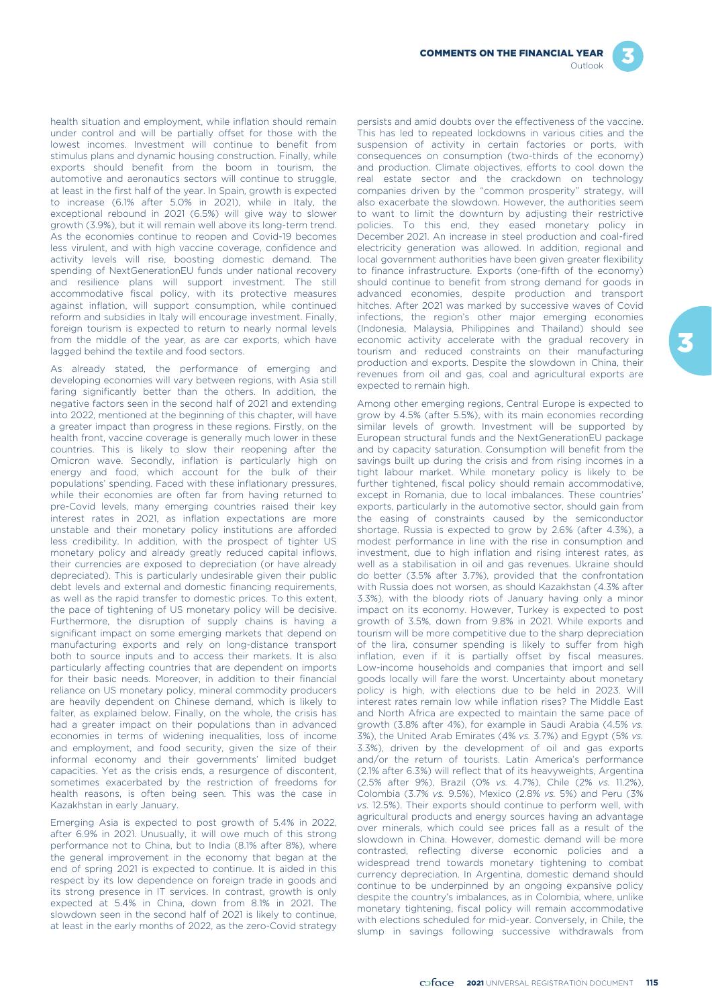

health situation and employment, while inflation should remain under control and will be partially offset for those with the lowest incomes. Investment will continue to benefit from stimulus plans and dynamic housing construction. Finally, while exports should benefit from the boom in tourism, the automotive and aeronautics sectors will continue to struggle, at least in the first half of the year. In Spain, growth is expected to increase (6.1% after 5.0% in 2021), while in Italy, the exceptional rebound in 2021 (6.5%) will give way to slower growth (3.9%), but it will remain well above its long-term trend. As the economies continue to reopen and Covid-19 becomes less virulent, and with high vaccine coverage, confidence and activity levels will rise, boosting domestic demand. The spending of NextGenerationEU funds under national recovery and resilience plans will support investment. The still accommodative fiscal policy, with its protective measures against inflation, will support consumption, while continued reform and subsidies in Italy will encourage investment. Finally, foreign tourism is expected to return to nearly normal levels from the middle of the year, as are car exports, which have lagged behind the textile and food sectors.

As already stated, the performance of emerging and developing economies will vary between regions, with Asia still faring significantly better than the others. In addition, the negative factors seen in the second half of 2021 and extending into 2022, mentioned at the beginning of this chapter, will have a greater impact than progress in these regions. Firstly, on the health front, vaccine coverage is generally much lower in these countries. This is likely to slow their reopening after the Omicron wave. Secondly, inflation is particularly high on energy and food, which account for the bulk of their populations' spending. Faced with these inflationary pressures, while their economies are often far from having returned to pre-Covid levels, many emerging countries raised their key interest rates in 2021, as inflation expectations are more unstable and their monetary policy institutions are afforded less credibility. In addition, with the prospect of tighter US monetary policy and already greatly reduced capital inflows, their currencies are exposed to depreciation (or have already depreciated). This is particularly undesirable given their public debt levels and external and domestic financing requirements, as well as the rapid transfer to domestic prices. To this extent the pace of tightening of US monetary policy will be decisive. Furthermore, the disruption of supply chains is having a significant impact on some emerging markets that depend on manufacturing exports and rely on long-distance transport both to source inputs and to access their markets. It is also particularly affecting countries that are dependent on imports for their basic needs. Moreover, in addition to their financial reliance on US monetary policy, mineral commodity producers are heavily dependent on Chinese demand, which is likely to falter, as explained below. Finally, on the whole, the crisis has had a greater impact on their populations than in advanced economies in terms of widening inequalities, loss of income and employment, and food security, given the size of their informal economy and their governments' limited budget capacities. Yet as the crisis ends, a resurgence of discontent, sometimes exacerbated by the restriction of freedoms for health reasons, is often being seen. This was the case in Kazakhstan in early January.

Emerging Asia is expected to post growth of 5.4% in 2022, after 6.9% in 2021. Unusually, it will owe much of this strong performance not to China, but to India (8.1% after 8%), where the general improvement in the economy that began at the end of spring 2021 is expected to continue. It is aided in this respect by its low dependence on foreign trade in goods and its strong presence in IT services. In contrast, growth is only expected at 5.4% in China, down from 8.1% in 2021. The slowdown seen in the second half of 2021 is likely to continue, at least in the early months of 2022, as the zero-Covid strategy

persists and amid doubts over the effectiveness of the vaccine. This has led to repeated lockdowns in various cities and the suspension of activity in certain factories or ports, with consequences on consumption (two-thirds of the economy) and production. Climate objectives, efforts to cool down the real estate sector and the crackdown on technology companies driven by the "common prosperity" strategy, will also exacerbate the slowdown. However, the authorities seem to want to limit the downturn by adjusting their restrictive policies. To this end, they eased monetary policy in December 2021. An increase in steel production and coal-fired electricity generation was allowed. In addition, regional and local government authorities have been given greater flexibility to finance infrastructure. Exports (one-fifth of the economy) should continue to benefit from strong demand for goods in advanced economies, despite production and transport hitches. After 2021 was marked by successive waves of Covid infections, the region's other major emerging economies (Indonesia, Malaysia, Philippines and Thailand) should see economic activity accelerate with the gradual recovery in tourism and reduced constraints on their manufacturing production and exports. Despite the slowdown in China, their revenues from oil and gas, coal and agricultural exports are expected to remain high.

Among other emerging regions, Central Europe is expected to grow by 4.5% (after 5.5%), with its main economies recording similar levels of growth. Investment will be supported by European structural funds and the NextGenerationEU package and by capacity saturation. Consumption will benefit from the savings built up during the crisis and from rising incomes in a tight labour market. While monetary policy is likely to be further tightened, fiscal policy should remain accommodative, except in Romania, due to local imbalances. These countries' exports, particularly in the automotive sector, should gain from the easing of constraints caused by the semiconductor shortage. Russia is expected to grow by 2.6% (after 4.3%), a modest performance in line with the rise in consumption and investment, due to high inflation and rising interest rates, as well as a stabilisation in oil and gas revenues. Ukraine should do better (3.5% after 3.7%), provided that the confrontation with Russia does not worsen, as should Kazakhstan (4.3% after 3.3%), with the bloody riots of January having only a minor impact on its economy. However, Turkey is expected to post growth of 3.5%, down from 9.8% in 2021. While exports and tourism will be more competitive due to the sharp depreciation of the lira, consumer spending is likely to suffer from high inflation, even if it is partially offset by fiscal measures. Low-income households and companies that import and sell goods locally will fare the worst. Uncertainty about monetary policy is high, with elections due to be held in 2023. Will interest rates remain low while inflation rises? The Middle East and North Africa are expected to maintain the same pace of growth (3.8% after 4%), for example in Saudi Arabia (4.5% *vs.* 3%), the United Arab Emirates (4% *vs.* 3.7%) and Egypt (5% *vs.* 3.3%), driven by the development of oil and gas exports and/or the return of tourists. Latin America's performance (2.1% after 6.3%) will reflect that of its heavyweights, Argentina (2.5% after 9%), Brazil (0% *vs.* 4.7%), Chile (2% *vs.* 11.2%), Colombia (3.7% *vs.* 9.5%), Mexico (2.8% *vs.* 5%) and Peru (3% *vs.* 12.5%). Their exports should continue to perform well, with agricultural products and energy sources having an advantage over minerals, which could see prices fall as a result of the slowdown in China. However, domestic demand will be more contrasted, reflecting diverse economic policies and a widespread trend towards monetary tightening to combat currency depreciation. In Argentina, domestic demand should continue to be underpinned by an ongoing expansive policy despite the country's imbalances, as in Colombia, where, unlike monetary tightening, fiscal policy will remain accommodative with elections scheduled for mid-year. Conversely, in Chile, the slump in savings following successive withdrawals from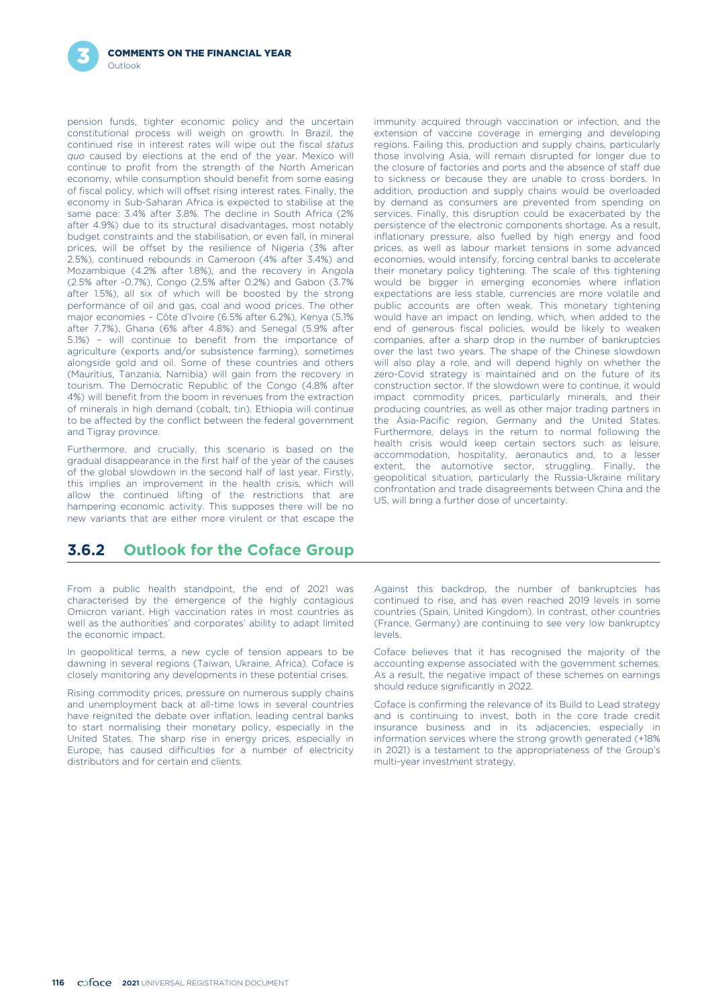

pension funds, tighter economic policy and the uncertain constitutional process will weigh on growth. In Brazil, the continued rise in interest rates will wipe out the fiscal *status quo* caused by elections at the end of the year. Mexico will continue to profit from the strength of the North American economy, while consumption should benefit from some easing of fiscal policy, which will offset rising interest rates. Finally, the economy in Sub-Saharan Africa is expected to stabilise at the same pace: 3.4% after 3.8%. The decline in South Africa (2% after 4.9%) due to its structural disadvantages, most notably budget constraints and the stabilisation, or even fall, in mineral prices, will be offset by the resilience of Nigeria (3% after 2.5%), continued rebounds in Cameroon (4% after 3.4%) and Mozambique (4.2% after 1.8%), and the recovery in Angola (2.5% after -0.7%), Congo (2.5% after 0.2%) and Gabon (3.7% after 1.5%), all six of which will be boosted by the strong performance of oil and gas, coal and wood prices. The other major economies – Côte d'Ivoire (6.5% after 6.2%), Kenya (5.1% after 7.7%), Ghana (6% after 4.8%) and Senegal (5.9% after 5.1%) – will continue to benefit from the importance of agriculture (exports and/or subsistence farming), sometimes alongside gold and oil. Some of these countries and others (Mauritius, Tanzania, Namibia) will gain from the recovery in tourism. The Democratic Republic of the Congo (4.8% after 4%) will benefit from the boom in revenues from the extraction of minerals in high demand (cobalt, tin). Ethiopia will continue to be affected by the conflict between the federal government and Tigray province.

Furthermore, and crucially, this scenario is based on the health crisis would keep certain sectors such as leisure gradual disappearance in the first half of the year of the causes extent, the automotive sector, struggling new variants that are either more virulent or that escape the

immunity acquired through vaccination or infection, and the extension of vaccine coverage in emerging and developing regions. Failing this, production and supply chains, particularly those involving Asia, will remain disrupted for longer due to the closure of factories and ports and the absence of staff due to sickness or because they are unable to cross borders. In addition, production and supply chains would be overloaded by demand as consumers are prevented from spending on services. Finally, this disruption could be exacerbated by the persistence of the electronic components shortage. As a result, inflationary pressure, also fuelled by high energy and food prices, as well as labour market tensions in some advanced economies, would intensify, forcing central banks to accelerate their monetary policy tightening. The scale of this tightening would be bigger in emerging economies where inflation expectations are less stable, currencies are more volatile and public accounts are often weak. This monetary tightening would have an impact on lending, which, when added to the end of generous fiscal policies, would be likely to weaken companies, after a sharp drop in the number of bankruptcies over the last two years. The shape of the Chinese slowdown will also play a role, and will depend highly on whether the zero-Covid strategy is maintained and on the future of its construction sector. If the slowdown were to continue, it would impact commodity prices, particularly minerals, and their producing countries, as well as other major trading partners in the Asia-Pacific region, Germany and the United States. Furthermore, delays in the return to normal following the health crisis would keep certain sectors such as leisure.

# **3.6.2 Outlook for the Coface Group**

From a public health standpoint, the end of 2021 was characterised by the emergence of the highly contagious Omicron variant. High vaccination rates in most countries as well as the authorities' and corporates' ability to adapt limited the economic impact.

In geopolitical terms, a new cycle of tension appears to be dawning in several regions (Taiwan, Ukraine, Africa). Coface is closely monitoring any developments in these potential crises.

Rising commodity prices, pressure on numerous supply chains and unemployment back at all-time lows in several countries have reignited the debate over inflation, leading central banks to start normalising their monetary policy, especially in the United States. The sharp rise in energy prices, especially in Europe, has caused difficulties for a number of electricity distributors and for certain end clients.

Against this backdrop, the number of bankruptcies has continued to rise, and has even reached 2019 levels in some countries (Spain, United Kingdom). In contrast, other countries (France, Germany) are continuing to see very low bankruptcy levels.

Coface believes that it has recognised the majority of the accounting expense associated with the government schemes. As a result, the negative impact of these schemes on earnings should reduce significantly in 2022.

Coface is confirming the relevance of its Build to Lead strategy and is continuing to invest, both in the core trade credit insurance business and in its adjacencies, especially in information services where the strong growth generated (+18% in 2021) is a testament to the appropriateness of the Group's multi-year investment strategy.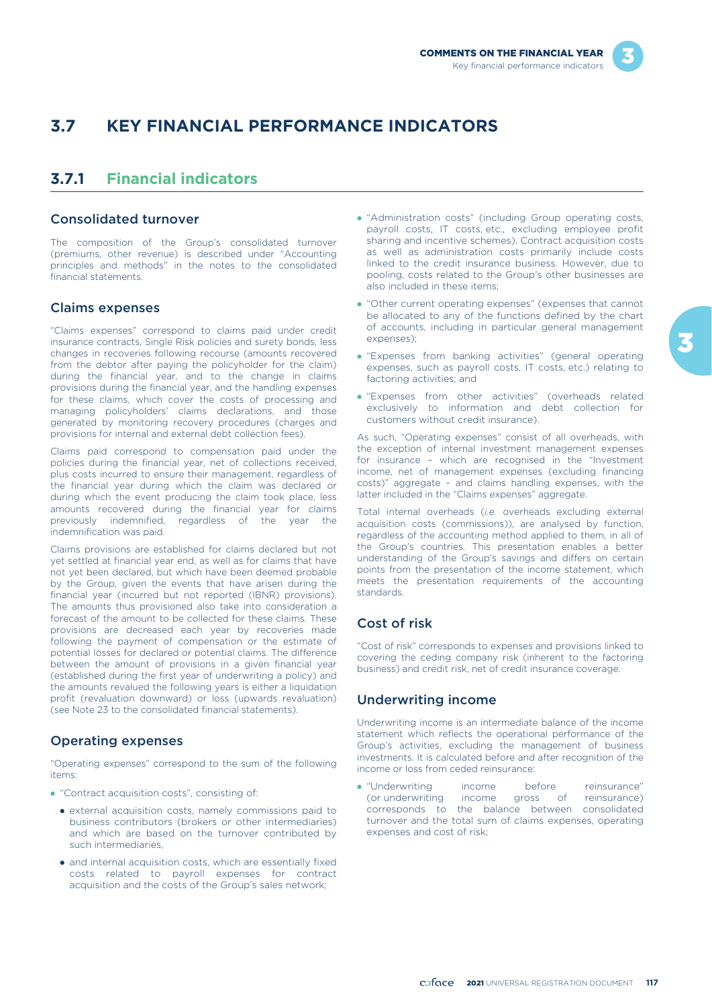

# **3.7 KEY FINANCIAL PERFORMANCE INDICATORS**

# **3.7.1 Financial indicators**

### Consolidated turnover

The composition of the Group's consolidated turnover (premiums, other revenue) is described under "Accounting principles and methods" in the notes to the consolidated financial statements.

### Claims expenses

"Claims expenses" correspond to claims paid under credit insurance contracts, Single Risk policies and surety bonds, less changes in recoveries following recourse (amounts recovered from the debtor after paying the policyholder for the claim) during the financial year, and to the change in claims provisions during the financial year, and the handling expenses for these claims, which cover the costs of processing and managing policyholders' claims declarations, and those generated by monitoring recovery procedures (charges and provisions for internal and external debt collection fees).

Claims paid correspond to compensation paid under the policies during the financial year, net of collections received, plus costs incurred to ensure their management, regardless of the financial year during which the claim was declared or during which the event producing the claim took place, less amounts recovered during the financial year for claims previously indemnified, regardless of the year the indemnification was paid.

Claims provisions are established for claims declared but not yet settled at financial year end, as well as for claims that have not yet been declared, but which have been deemed probable by the Group, given the events that have arisen during the financial year (incurred but not reported (IBNR) provisions). The amounts thus provisioned also take into consideration a forecast of the amount to be collected for these claims. These provisions are decreased each year by recoveries made following the payment of compensation or the estimate of potential losses for declared or potential claims. The difference between the amount of provisions in a given financial year (established during the first year of underwriting a policy) and the amounts revalued the following years is either a liquidation profit (revaluation downward) or loss (upwards revaluation) (see Note 23 to the consolidated financial statements).

### Operating expenses

"Operating expenses" correspond to the sum of the following items:

- "Contract acquisition costs", consisting of:
	- external acquisition costs, namely commissions paid to business contributors (brokers or other intermediaries) and which are based on the turnover contributed by such intermediaries,
	- and internal acquisition costs, which are essentially fixed costs related to payroll expenses for contract acquisition and the costs of the Group's sales network;
- "Administration costs" (including Group operating costs, payroll costs, IT costs, etc., excluding employee profit sharing and incentive schemes). Contract acquisition costs as well as administration costs primarily include costs linked to the credit insurance business. However, due to pooling, costs related to the Group's other businesses are also included in these items;
- "Other current operating expenses" (expenses that cannot be allocated to any of the functions defined by the chart of accounts, including in particular general management expenses);
- "Expenses from banking activities" (general operating expenses, such as payroll costs, IT costs, etc.) relating to factoring activities; and
- "Expenses from other activities" (overheads related exclusively to information and debt collection for customers without credit insurance).

As such, "Operating expenses" consist of all overheads, with the exception of internal investment management expenses for insurance – which are recognised in the "Investment income, net of management expenses (excluding financing costs)" aggregate – and claims handling expenses, with the latter included in the "Claims expenses" aggregate.

Total internal overheads (*i.e.* overheads excluding external acquisition costs (commissions)), are analysed by function, regardless of the accounting method applied to them, in all of the Group's countries. This presentation enables a better understanding of the Group's savings and differs on certain points from the presentation of the income statement, which meets the presentation requirements of the accounting standards.

### Cost of risk

"Cost of risk" corresponds to expenses and provisions linked to covering the ceding company risk (inherent to the factoring business) and credit risk, net of credit insurance coverage.

### Underwriting income

Underwriting income is an intermediate balance of the income statement which reflects the operational performance of the Group's activities, excluding the management of business investments. It is calculated before and after recognition of the income or loss from ceded reinsurance:

- "Underwriting income before reinsurance" (or underwriting income gross of reinsurance) corresponds to the balance between consolidated turnover and the total sum of claims expenses, operating expenses and cost of risk;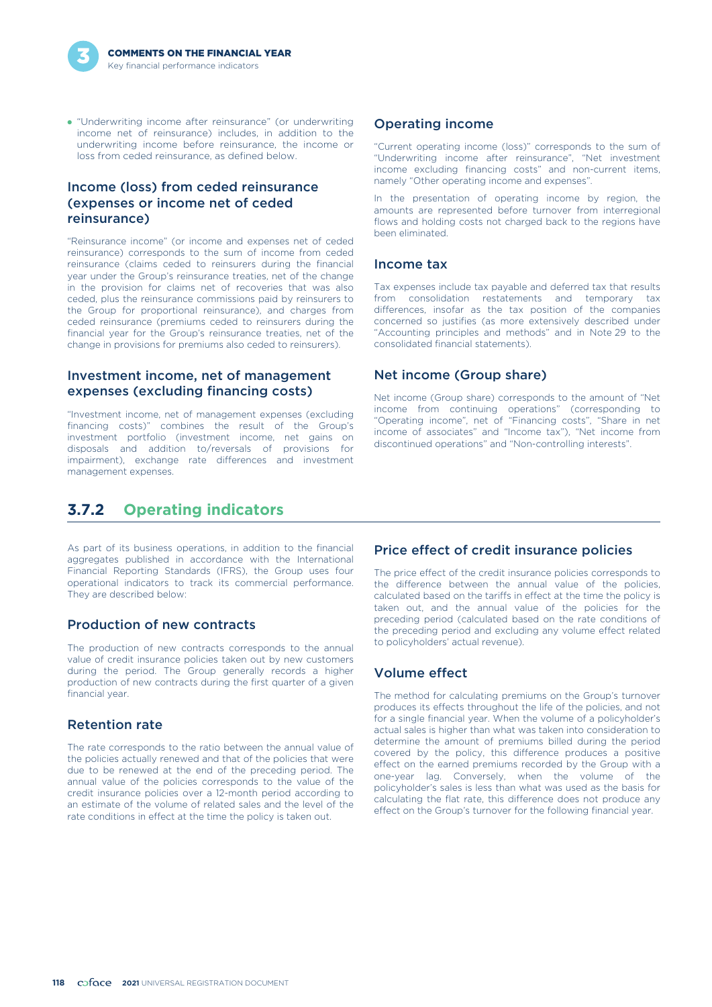

- "Underwriting income after reinsurance" (or underwriting income net of reinsurance) includes, in addition to the underwriting income before reinsurance, the income or loss from ceded reinsurance, as defined below.

### Income (loss) from ceded reinsurance (expenses or income net of ceded reinsurance)

"Reinsurance income" (or income and expenses net of ceded reinsurance) corresponds to the sum of income from ceded reinsurance (claims ceded to reinsurers during the financial year under the Group's reinsurance treaties, net of the change in the provision for claims net of recoveries that was also ceded, plus the reinsurance commissions paid by reinsurers to the Group for proportional reinsurance), and charges from ceded reinsurance (premiums ceded to reinsurers during the financial year for the Group's reinsurance treaties, net of the change in provisions for premiums also ceded to reinsurers).

### Investment income, net of management expenses (excluding financing costs)

"Investment income, net of management expenses (excluding financing costs)" combines the result of the Group's investment portfolio (investment income, net gains on disposals and addition to/reversals of provisions for impairment), exchange rate differences and investment management expenses.

### Operating income

"Current operating income (loss)" corresponds to the sum of "Underwriting income after reinsurance", "Net investment income excluding financing costs" and non-current items, namely "Other operating income and expenses".

In the presentation of operating income by region, the amounts are represented before turnover from interregional flows and holding costs not charged back to the regions have been eliminated.

### Income tax

Tax expenses include tax payable and deferred tax that results from consolidation restatements and temporary tax differences, insofar as the tax position of the companies concerned so justifies (as more extensively described under "Accounting principles and methods" and in Note 29 to the consolidated financial statements).

### Net income (Group share)

Net income (Group share) corresponds to the amount of "Net income from continuing operations" (corresponding to "Operating income", net of "Financing costs", "Share in net income of associates" and "Income tax"), "Net income from discontinued operations" and "Non-controlling interests".

# **3.7.2 Operating indicators**

As part of its business operations, in addition to the financial aggregates published in accordance with the International Financial Reporting Standards (IFRS), the Group uses four operational indicators to track its commercial performance. They are described below:

### Production of new contracts

The production of new contracts corresponds to the annual value of credit insurance policies taken out by new customers during the period. The Group generally records a higher production of new contracts during the first quarter of a given financial year.

### Retention rate

The rate corresponds to the ratio between the annual value of the policies actually renewed and that of the policies that were due to be renewed at the end of the preceding period. The annual value of the policies corresponds to the value of the credit insurance policies over a 12-month period according to an estimate of the volume of related sales and the level of the rate conditions in effect at the time the policy is taken out.

### Price effect of credit insurance policies

The price effect of the credit insurance policies corresponds to the difference between the annual value of the policies, calculated based on the tariffs in effect at the time the policy is taken out, and the annual value of the policies for the preceding period (calculated based on the rate conditions of the preceding period and excluding any volume effect related to policyholders' actual revenue).

### Volume effect

The method for calculating premiums on the Group's turnover produces its effects throughout the life of the policies, and not for a single financial year. When the volume of a policyholder's actual sales is higher than what was taken into consideration to determine the amount of premiums billed during the period covered by the policy, this difference produces a positive effect on the earned premiums recorded by the Group with a one-year lag. Conversely, when the volume of the policyholder's sales is less than what was used as the basis for calculating the flat rate, this difference does not produce any effect on the Group's turnover for the following financial year.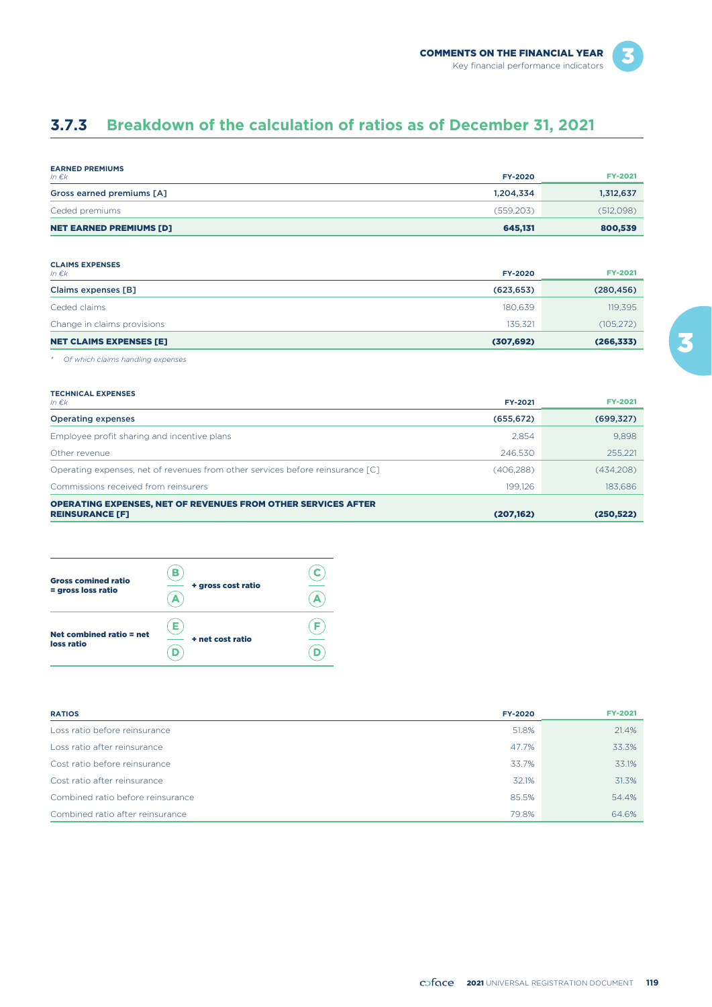# **3.7.3 Breakdown of the calculation of ratios as of December 31, 2021**

| <b>EARNED PREMIUMS</b><br>In $\epsilon$ k | <b>FY-2020</b> | <b>FY-2021</b> |
|-------------------------------------------|----------------|----------------|
| Gross earned premiums [A]                 | 1.204.334      | 1,312,637      |
| Ceded premiums                            | (559,203)      | (512,098)      |
| <b>NET EARNED PREMIUMS [D]</b>            | 645.131        | 800,539        |

#### **CLAIMS EXPENSES**

| In $\epsilon$ <sub>k</sub>     | FY-2020    | <b>FY-2021</b> |
|--------------------------------|------------|----------------|
| Claims expenses [B]            | (623, 653) | (280, 456)     |
| Ceded claims                   | 180.639    | 119,395        |
| Change in claims provisions    | 135.321    | (105, 272)     |
| <b>NET CLAIMS EXPENSES [E]</b> | (307, 692) | (266, 333)     |

*\* Of which claims handling expenses*

#### **TECHNICAL EXPENSES**

| In $\epsilon$ k                                                                | FY-2021    | <b>FY-2021</b> |
|--------------------------------------------------------------------------------|------------|----------------|
| <b>Operating expenses</b>                                                      | (655, 672) | (699, 327)     |
| Employee profit sharing and incentive plans                                    | 2.854      | 9.898          |
| Other revenue                                                                  | 246.530    | 255.221        |
| Operating expenses, net of revenues from other services before reinsurance [C] | (406, 288) | (434,208)      |
| Commissions received from reinsurers                                           | 199.126    | 183.686        |
| <b>OPERATING EXPENSES, NET OF REVENUES FROM OTHER SERVICES AFTER</b>           |            |                |
| <b>REINSURANCE [F]</b>                                                         | (207, 162) | (250, 522)     |



| <b>RATIOS</b>                     | <b>FY-2020</b> | <b>FY-2021</b> |
|-----------------------------------|----------------|----------------|
| Loss ratio before reinsurance     | 51.8%          | 21.4%          |
| Loss ratio after reinsurance      | 47.7%          | 33.3%          |
| Cost ratio before reinsurance     | 33.7%          | 33.1%          |
| Cost ratio after reinsurance      | 32.1%          | 31.3%          |
| Combined ratio before reinsurance | 85.5%          | 54.4%          |
| Combined ratio after reinsurance  | 79.8%          | 64.6%          |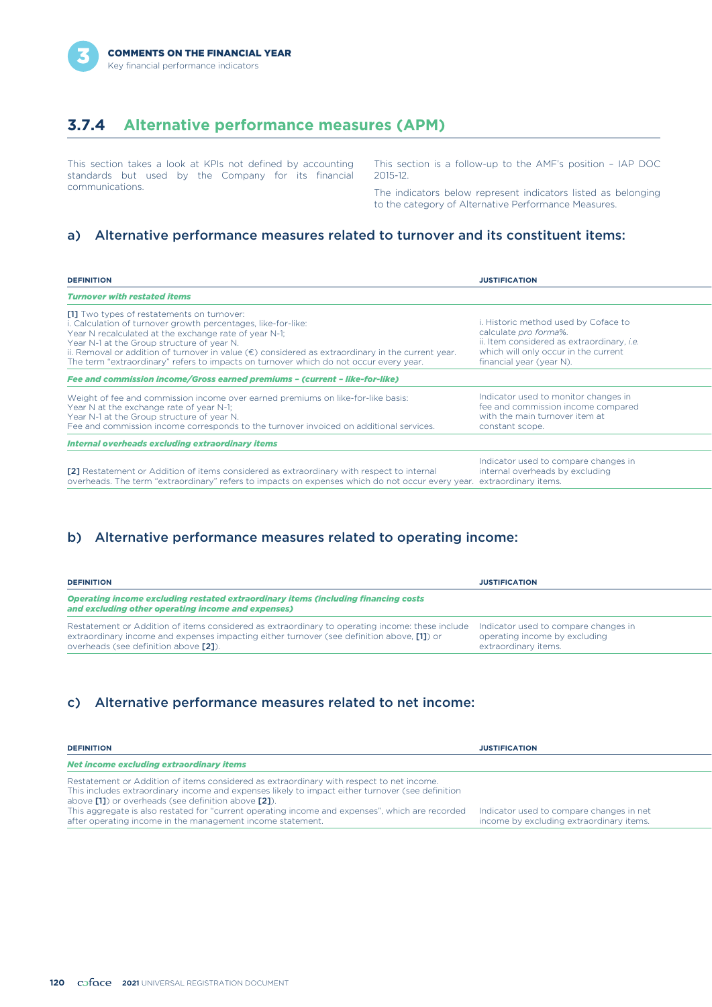

# **3.7.4 Alternative performance measures (APM)**

This section takes a look at KPIs not defined by accounting standards but used by the Company for its financial communications.

This section is a follow-up to the AMF's position – IAP DOC 2015-12.

The indicators below represent indicators listed as belonging to the category of Alternative Performance Measures.

### a) Alternative performance measures related to turnover and its constituent items:

| <b>DEFINITION</b>                                                                                                                                                                                                                                                                                                                                                                                                         | <b>JUSTIFICATION</b>                                                                                                                                                                   |
|---------------------------------------------------------------------------------------------------------------------------------------------------------------------------------------------------------------------------------------------------------------------------------------------------------------------------------------------------------------------------------------------------------------------------|----------------------------------------------------------------------------------------------------------------------------------------------------------------------------------------|
| <b>Turnover with restated items</b>                                                                                                                                                                                                                                                                                                                                                                                       |                                                                                                                                                                                        |
| [1] Two types of restatements on turnover:<br>i. Calculation of turnover growth percentages, like-for-like:<br>Year N recalculated at the exchange rate of year N-1;<br>Year N-1 at the Group structure of year N.<br>ii. Removal or addition of turnover in value $(\epsilon)$ considered as extraordinary in the current year.<br>The term "extraordinary" refers to impacts on turnover which do not occur every year. | i. Historic method used by Coface to<br>calculate pro forma%.<br>ii. Item considered as extraordinary, <i>i.e.</i><br>which will only occur in the current<br>financial year (year N). |
| Fee and commission income/Gross earned premiums - (current - like-for-like)                                                                                                                                                                                                                                                                                                                                               |                                                                                                                                                                                        |
| Weight of fee and commission income over earned premiums on like-for-like basis:<br>Year N at the exchange rate of year N-1;<br>Year N-1 at the Group structure of year N.<br>Fee and commission income corresponds to the turnover invoiced on additional services.                                                                                                                                                      | Indicator used to monitor changes in<br>fee and commission income compared<br>with the main turnover item at<br>constant scope.                                                        |
| <b>Internal overheads excluding extraordinary items</b>                                                                                                                                                                                                                                                                                                                                                                   |                                                                                                                                                                                        |
| [2] Restatement or Addition of items considered as extraordinary with respect to internal<br>overheads. The term "extraordinary" refers to impacts on expenses which do not occur every year. extraordinary items.                                                                                                                                                                                                        | Indicator used to compare changes in<br>internal overheads by excluding                                                                                                                |

### b) Alternative performance measures related to operating income:

| <b>DEFINITION</b>                                                                                                                                                                                                                      | <b>JUSTIFICATION</b>                                                                          |
|----------------------------------------------------------------------------------------------------------------------------------------------------------------------------------------------------------------------------------------|-----------------------------------------------------------------------------------------------|
| Operating income excluding restated extraordinary items (including financing costs<br>and excluding other operating income and expenses)                                                                                               |                                                                                               |
| Restatement or Addition of items considered as extraordinary to operating income: these include<br>extraordinary income and expenses impacting either turnover (see definition above, [1]) or<br>overheads (see definition above [2]). | Indicator used to compare changes in<br>operating income by excluding<br>extraordinary items. |

### c) Alternative performance measures related to net income:

| <b>DEFINITION</b>                                                                                                                                                                                                                                                                                                                                                                                                    | <b>JUSTIFICATION</b>                                                                 |
|----------------------------------------------------------------------------------------------------------------------------------------------------------------------------------------------------------------------------------------------------------------------------------------------------------------------------------------------------------------------------------------------------------------------|--------------------------------------------------------------------------------------|
| Net income excluding extraordinary items                                                                                                                                                                                                                                                                                                                                                                             |                                                                                      |
| Restatement or Addition of items considered as extraordinary with respect to net income.<br>This includes extraordinary income and expenses likely to impact either turnover (see definition<br>above [11] or overheads (see definition above [21).<br>This aggregate is also restated for "current operating income and expenses", which are recorded<br>after operating income in the management income statement. | Indicator used to compare changes in net<br>income by excluding extraordinary items. |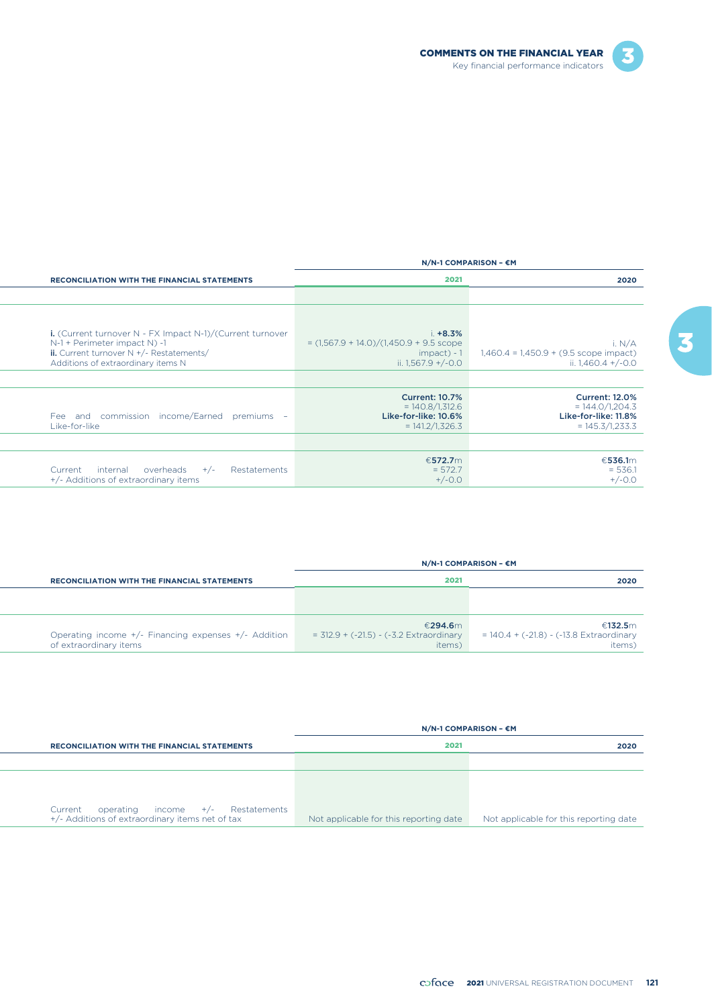

|                                                                                                       |                                                                                         | $N/N-1$ COMPARISON - $\epsilon$ M                                                       |
|-------------------------------------------------------------------------------------------------------|-----------------------------------------------------------------------------------------|-----------------------------------------------------------------------------------------|
| <b>RECONCILIATION WITH THE FINANCIAL STATEMENTS</b>                                                   | 2021                                                                                    | 2020                                                                                    |
|                                                                                                       |                                                                                         |                                                                                         |
|                                                                                                       |                                                                                         |                                                                                         |
| <b>i.</b> (Current turnover $N$ - FX Impact $N-1$ )/(Current turnover<br>N-1 + Perimeter impact N) -1 | $i. +8.3%$<br>$=(1,567.9 + 14.0)/(1,450.9 + 9.5$ scope                                  | i. $N/A$                                                                                |
| ii. Current turnover $N + (-$ Restatements/<br>Additions of extraordinary items N                     | $impact$ - 1<br>ii. $1,567.9 + (-0.0)$                                                  | $1,460.4 = 1,450.9 + (9.5 \text{ scope impact})$<br>ii. 1,460.4 $+/-0.0$                |
|                                                                                                       |                                                                                         |                                                                                         |
| Fee and commission income/Earned<br>premiums -<br>Like-for-like                                       | <b>Current: 10.7%</b><br>$= 140.8/1,312.6$<br>Like-for-like: 10.6%<br>$= 141.2/1,326.3$ | <b>Current: 12.0%</b><br>$= 144.0/1,204.3$<br>Like-for-like: 11.8%<br>$= 145.3/1,233.3$ |
|                                                                                                       |                                                                                         |                                                                                         |
| internal<br>overheads<br>Restatements<br>Current<br>$+/-$<br>+/- Additions of extraordinary items     | €572.7m<br>$= 572.7$<br>$+/-0.0$                                                        | €536.1m<br>$= 536.1$<br>$+/-0.0$                                                        |

|                                                                                | $N/N-1$ COMPARISON - $\epsilon$ M                              |                                                                  |
|--------------------------------------------------------------------------------|----------------------------------------------------------------|------------------------------------------------------------------|
| <b>RECONCILIATION WITH THE FINANCIAL STATEMENTS</b>                            | 2021                                                           | 2020                                                             |
|                                                                                |                                                                |                                                                  |
|                                                                                |                                                                |                                                                  |
| Operating income +/- Financing expenses +/- Addition<br>of extraordinary items | €294.6m<br>$=$ 312.9 + (-21.5) - (-3.2 Extraordinary<br>items) | €132.5m<br>$= 140.4 + (-21.8) - (-13.8)$ Extraordinary<br>items) |

|         |                                                                                        |                                        | $N/N-1$ COMPARISON - $\epsilon$ M      |
|---------|----------------------------------------------------------------------------------------|----------------------------------------|----------------------------------------|
|         | <b>RECONCILIATION WITH THE FINANCIAL STATEMENTS</b>                                    | 2021                                   | 2020                                   |
|         |                                                                                        |                                        |                                        |
|         |                                                                                        |                                        |                                        |
| Current | operating income $+/-$ Restatements<br>+/- Additions of extraordinary items net of tax | Not applicable for this reporting date | Not applicable for this reporting date |

3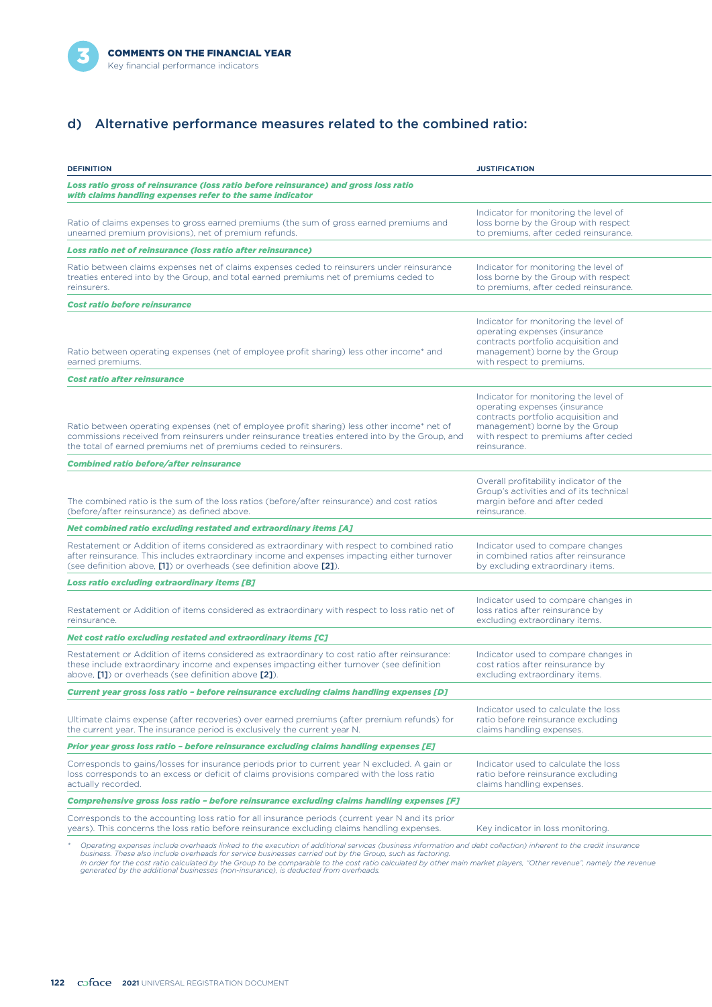

# d) Alternative performance measures related to the combined ratio:

| <b>DEFINITION</b>                                                                                                                                                                                                                                                            | <b>JUSTIFICATION</b>                                                                                                                                                                                    |
|------------------------------------------------------------------------------------------------------------------------------------------------------------------------------------------------------------------------------------------------------------------------------|---------------------------------------------------------------------------------------------------------------------------------------------------------------------------------------------------------|
| Loss ratio gross of reinsurance (loss ratio before reinsurance) and gross loss ratio<br>with claims handling expenses refer to the same indicator                                                                                                                            |                                                                                                                                                                                                         |
| Ratio of claims expenses to gross earned premiums (the sum of gross earned premiums and<br>unearned premium provisions), net of premium refunds.                                                                                                                             | Indicator for monitoring the level of<br>loss borne by the Group with respect<br>to premiums, after ceded reinsurance.                                                                                  |
| <b>Loss ratio net of reinsurance (loss ratio after reinsurance)</b>                                                                                                                                                                                                          |                                                                                                                                                                                                         |
| Ratio between claims expenses net of claims expenses ceded to reinsurers under reinsurance<br>treaties entered into by the Group, and total earned premiums net of premiums ceded to<br>reinsurers.                                                                          | Indicator for monitoring the level of<br>loss borne by the Group with respect<br>to premiums, after ceded reinsurance.                                                                                  |
| Cost ratio before reinsurance                                                                                                                                                                                                                                                |                                                                                                                                                                                                         |
| Ratio between operating expenses (net of employee profit sharing) less other income* and<br>earned premiums.                                                                                                                                                                 | Indicator for monitoring the level of<br>operating expenses (insurance<br>contracts portfolio acquisition and<br>management) borne by the Group<br>with respect to premiums.                            |
| <b>Cost ratio after reinsurance</b>                                                                                                                                                                                                                                          |                                                                                                                                                                                                         |
| Ratio between operating expenses (net of employee profit sharing) less other income* net of<br>commissions received from reinsurers under reinsurance treaties entered into by the Group, and<br>the total of earned premiums net of premiums ceded to reinsurers.           | Indicator for monitoring the level of<br>operating expenses (insurance<br>contracts portfolio acquisition and<br>management) borne by the Group<br>with respect to premiums after ceded<br>reinsurance. |
| <b>Combined ratio before/after reinsurance</b>                                                                                                                                                                                                                               |                                                                                                                                                                                                         |
| The combined ratio is the sum of the loss ratios (before/after reinsurance) and cost ratios<br>(before/after reinsurance) as defined above.                                                                                                                                  | Overall profitability indicator of the<br>Group's activities and of its technical<br>margin before and after ceded<br>reinsurance.                                                                      |
| Net combined ratio excluding restated and extraordinary items [A]                                                                                                                                                                                                            |                                                                                                                                                                                                         |
| Restatement or Addition of items considered as extraordinary with respect to combined ratio<br>after reinsurance. This includes extraordinary income and expenses impacting either turnover<br>(see definition above, [1]) or overheads (see definition above [2]).          | Indicator used to compare changes<br>in combined ratios after reinsurance<br>by excluding extraordinary items.                                                                                          |
| <b>Loss ratio excluding extraordinary items [B]</b>                                                                                                                                                                                                                          |                                                                                                                                                                                                         |
| Restatement or Addition of items considered as extraordinary with respect to loss ratio net of<br>reinsurance.                                                                                                                                                               | Indicator used to compare changes in<br>loss ratios after reinsurance by<br>excluding extraordinary items.                                                                                              |
| Net cost ratio excluding restated and extraordinary items [C]                                                                                                                                                                                                                |                                                                                                                                                                                                         |
| Restatement or Addition of items considered as extraordinary to cost ratio after reinsurance:<br>these include extraordinary income and expenses impacting either turnover (see definition<br>above, [1]) or overheads (see definition above [2]).                           | Indicator used to compare changes in<br>cost ratios after reinsurance by<br>excluding extraordinary items.                                                                                              |
| Current year gross loss ratio - before reinsurance excluding claims handling expenses [D]                                                                                                                                                                                    |                                                                                                                                                                                                         |
| Ultimate claims expense (after recoveries) over earned premiums (after premium refunds) for<br>the current year. The insurance period is exclusively the current year N.                                                                                                     | Indicator used to calculate the loss<br>ratio before reinsurance excluding<br>claims handling expenses.                                                                                                 |
| Prior year gross loss ratio - before reinsurance excluding claims handling expenses [E]                                                                                                                                                                                      |                                                                                                                                                                                                         |
| Corresponds to gains/losses for insurance periods prior to current year N excluded. A gain or<br>loss corresponds to an excess or deficit of claims provisions compared with the loss ratio<br>actually recorded.                                                            | Indicator used to calculate the loss<br>ratio before reinsurance excluding<br>claims handling expenses.                                                                                                 |
| Comprehensive gross loss ratio - before reinsurance excluding claims handling expenses [F]                                                                                                                                                                                   |                                                                                                                                                                                                         |
| Corresponds to the accounting loss ratio for all insurance periods (current year N and its prior<br>years). This concerns the loss ratio before reinsurance excluding claims handling expenses.                                                                              | Key indicator in loss monitoring.                                                                                                                                                                       |
| Operating expenses include overheads linked to the execution of additional services (business information and debt collection) inherent to the credit insurance<br>business. These also include overheads for service businesses carried out by the Group, such as factoring |                                                                                                                                                                                                         |

business. These also include overheads for service businesses carried out by the Group, such as factoring.<br>In order for the cost ratio calculated by the Group to be comparable to the cost ratio calculated by other main mar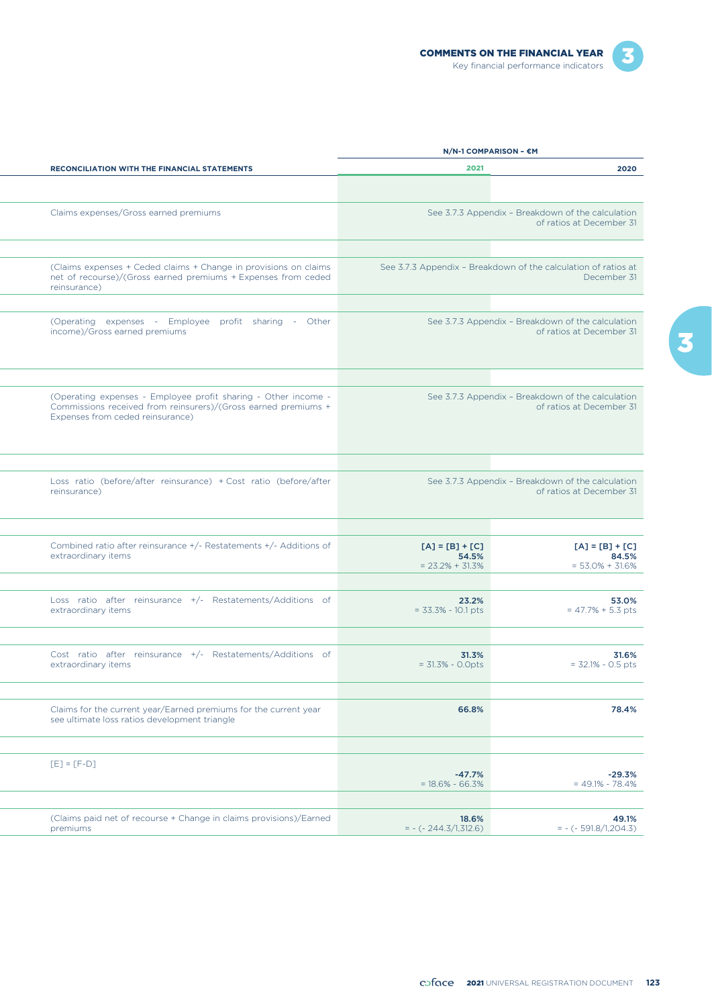|                     |                                                                                                                                                                      |                                                   | N/N-1 COMPARISON - €M                                                         |  |
|---------------------|----------------------------------------------------------------------------------------------------------------------------------------------------------------------|---------------------------------------------------|-------------------------------------------------------------------------------|--|
|                     | RECONCILIATION WITH THE FINANCIAL STATEMENTS                                                                                                                         | 2021                                              | 2020                                                                          |  |
|                     |                                                                                                                                                                      |                                                   |                                                                               |  |
|                     | Claims expenses/Gross earned premiums                                                                                                                                |                                                   | See 3.7.3 Appendix - Breakdown of the calculation<br>of ratios at December 31 |  |
| reinsurance)        | (Claims expenses + Ceded claims + Change in provisions on claims<br>net of recourse)/(Gross earned premiums + Expenses from ceded                                    |                                                   | See 3.7.3 Appendix - Breakdown of the calculation of ratios at<br>December 31 |  |
|                     | (Operating expenses - Employee profit sharing - Other<br>income)/Gross earned premiums                                                                               |                                                   | See 3.7.3 Appendix - Breakdown of the calculation<br>of ratios at December 31 |  |
|                     |                                                                                                                                                                      |                                                   |                                                                               |  |
|                     | (Operating expenses - Employee profit sharing - Other income -<br>Commissions received from reinsurers)/(Gross earned premiums +<br>Expenses from ceded reinsurance) |                                                   | See 3.7.3 Appendix - Breakdown of the calculation<br>of ratios at December 31 |  |
|                     |                                                                                                                                                                      |                                                   |                                                                               |  |
| reinsurance)        | Loss ratio (before/after reinsurance) + Cost ratio (before/after                                                                                                     |                                                   | See 3.7.3 Appendix - Breakdown of the calculation<br>of ratios at December 31 |  |
| extraordinary items | Combined ratio after reinsurance +/- Restatements +/- Additions of                                                                                                   | $[A] = [B] + [C]$<br>54.5%<br>$= 23.2\% + 31.3\%$ | $[A] = [B] + [C]$<br>84.5%<br>$= 53.0\% + 31.6\%$                             |  |
| extraordinary items | Loss ratio after reinsurance +/- Restatements/Additions of                                                                                                           | 23.2%<br>$= 33.3\% - 10.1$ pts                    | 53.0%<br>$= 47.7% + 5.3 pts$                                                  |  |
|                     |                                                                                                                                                                      |                                                   |                                                                               |  |
| extraordinary items | Cost ratio after reinsurance +/- Restatements/Additions of                                                                                                           | 31.3%<br>$= 31.3% - 0.0pts$                       | 31.6%<br>$= 32.1\% - 0.5$ pts                                                 |  |
|                     |                                                                                                                                                                      |                                                   |                                                                               |  |
|                     | Claims for the current year/Earned premiums for the current year<br>see ultimate loss ratios development triangle                                                    | 66.8%                                             | 78.4%                                                                         |  |
| $[E] = [F-D]$       |                                                                                                                                                                      | $-47.7%$<br>$= 18.6\% - 66.3\%$                   | $-29.3%$<br>$= 49.1\% - 78.4\%$                                               |  |
| premiums            | (Claims paid net of recourse + Change in claims provisions)/Earned                                                                                                   | 18.6%<br>$= - (-244.3/1,312.6)$                   | 49.1%<br>$= - (-591.8/1,204.3)$                                               |  |
|                     |                                                                                                                                                                      |                                                   |                                                                               |  |

3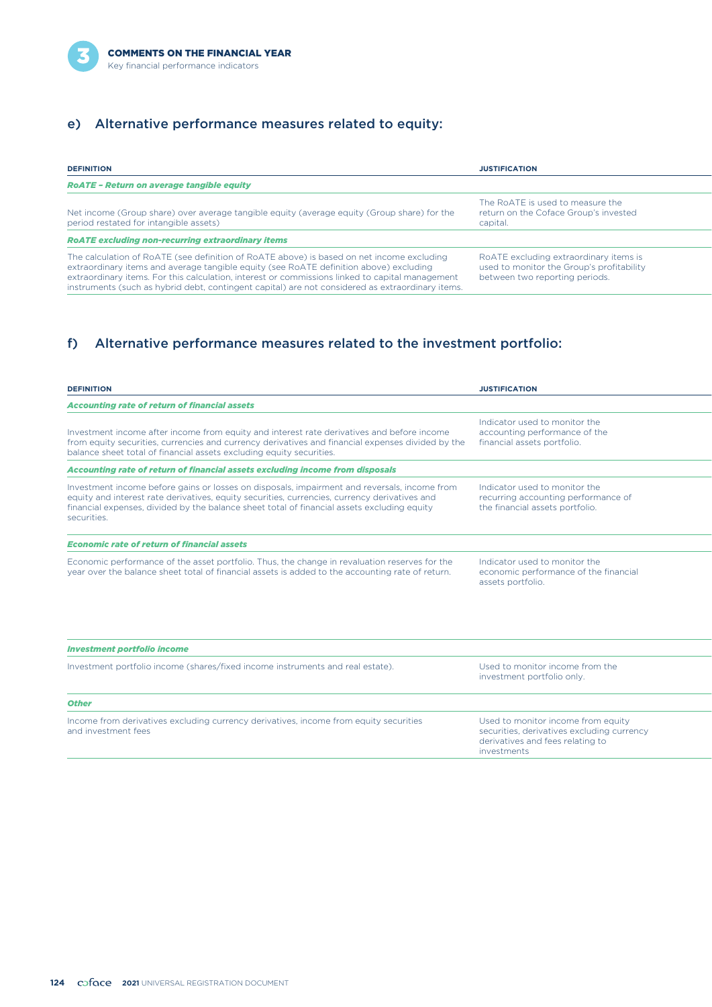

# e) Alternative performance measures related to equity:

| <b>DEFINITION</b>                                                                                                                                                                                                                                                                                                                                                                          | <b>JUSTIFICATION</b>                                                                                                  |
|--------------------------------------------------------------------------------------------------------------------------------------------------------------------------------------------------------------------------------------------------------------------------------------------------------------------------------------------------------------------------------------------|-----------------------------------------------------------------------------------------------------------------------|
| <b>RoATE - Return on average tangible equity</b>                                                                                                                                                                                                                                                                                                                                           |                                                                                                                       |
| Net income (Group share) over average tangible equity (average equity (Group share) for the<br>period restated for intangible assets)                                                                                                                                                                                                                                                      | The RoATE is used to measure the<br>return on the Coface Group's invested<br>capital.                                 |
| <b>RoATE excluding non-recurring extraordinary items</b>                                                                                                                                                                                                                                                                                                                                   |                                                                                                                       |
| The calculation of RoATE (see definition of RoATE above) is based on net income excluding<br>extraordinary items and average tangible equity (see RoATE definition above) excluding<br>extraordinary items. For this calculation, interest or commissions linked to capital management<br>instruments (such as hybrid debt, contingent capital) are not considered as extraordinary items. | RoATE excluding extraordinary items is<br>used to monitor the Group's profitability<br>between two reporting periods. |

# f) Alternative performance measures related to the investment portfolio:

| <b>DEFINITION</b>                                                                                                                                                                                                                                                                                           | <b>JUSTIFICATION</b>                                                                                                                |
|-------------------------------------------------------------------------------------------------------------------------------------------------------------------------------------------------------------------------------------------------------------------------------------------------------------|-------------------------------------------------------------------------------------------------------------------------------------|
| <b>Accounting rate of return of financial assets</b>                                                                                                                                                                                                                                                        |                                                                                                                                     |
| Investment income after income from equity and interest rate derivatives and before income<br>from equity securities, currencies and currency derivatives and financial expenses divided by the<br>balance sheet total of financial assets excluding equity securities.                                     | Indicator used to monitor the<br>accounting performance of the<br>financial assets portfolio.                                       |
| Accounting rate of return of financial assets excluding income from disposals                                                                                                                                                                                                                               |                                                                                                                                     |
| Investment income before gains or losses on disposals, impairment and reversals, income from<br>equity and interest rate derivatives, equity securities, currencies, currency derivatives and<br>financial expenses, divided by the balance sheet total of financial assets excluding equity<br>securities. | Indicator used to monitor the<br>recurring accounting performance of<br>the financial assets portfolio.                             |
| <b>Economic rate of return of financial assets</b>                                                                                                                                                                                                                                                          |                                                                                                                                     |
| Economic performance of the asset portfolio. Thus, the change in revaluation reserves for the<br>year over the balance sheet total of financial assets is added to the accounting rate of return.                                                                                                           | Indicator used to monitor the<br>economic performance of the financial<br>assets portfolio.                                         |
| <b>Investment portfolio income</b>                                                                                                                                                                                                                                                                          |                                                                                                                                     |
| Investment portfolio income (shares/fixed income instruments and real estate).                                                                                                                                                                                                                              | Used to monitor income from the<br>investment portfolio only.                                                                       |
| <b>Other</b>                                                                                                                                                                                                                                                                                                |                                                                                                                                     |
| Income from derivatives excluding currency derivatives, income from equity securities<br>and investment fees                                                                                                                                                                                                | Used to monitor income from equity<br>securities, derivatives excluding currency<br>derivatives and fees relating to<br>investments |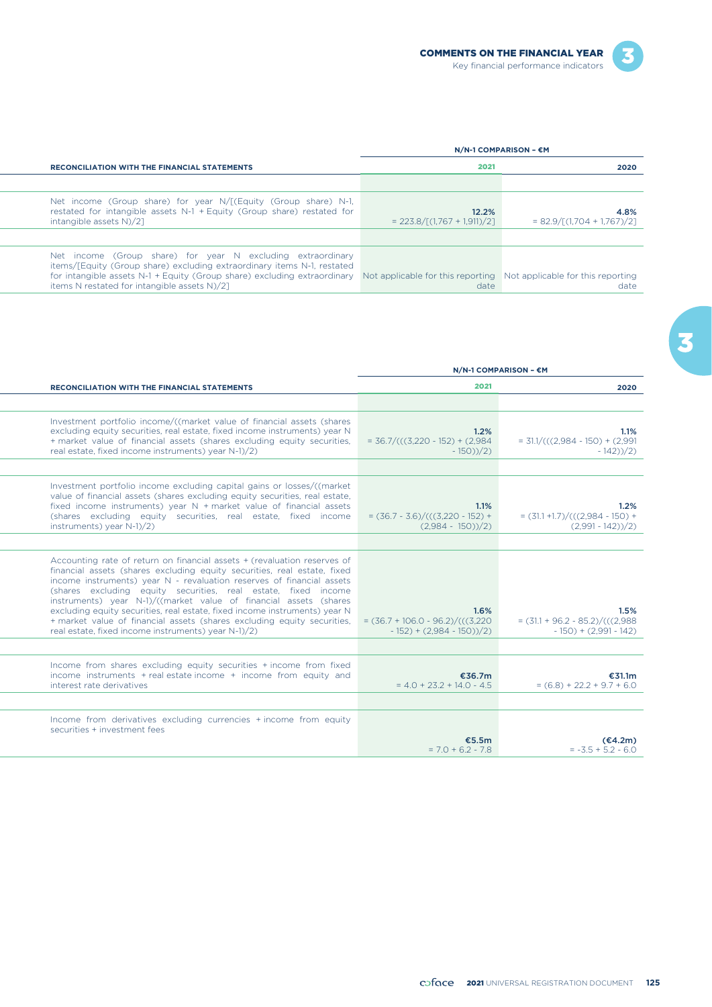|                                                                                                                                                                                                                                                                                                                                        | $N/N-1$ COMPARISON – $\epsilon$ M        |                                               |
|----------------------------------------------------------------------------------------------------------------------------------------------------------------------------------------------------------------------------------------------------------------------------------------------------------------------------------------|------------------------------------------|-----------------------------------------------|
| <b>RECONCILIATION WITH THE FINANCIAL STATEMENTS</b>                                                                                                                                                                                                                                                                                    | 2021                                     | 2020                                          |
|                                                                                                                                                                                                                                                                                                                                        |                                          |                                               |
| Net income (Group share) for year $N/[C$ (Equity (Group share) N-1,<br>restated for intangible assets N-1 + Equity (Group share) restated for<br>intangible assets N)/21                                                                                                                                                               | 12.2%<br>$= 223.8 / [(1.767 + 1.911)/2]$ | 4.8%<br>$= 82.9 / \Gamma(1.704 + 1.767) / 21$ |
|                                                                                                                                                                                                                                                                                                                                        |                                          |                                               |
| Net income (Group share) for year N excluding extraordinary<br>items/[Equity (Group share) excluding extraordinary items N-1, restated<br>for intangible assets N-1 + Equity (Group share) excluding extraordinary Not applicable for this reporting Not applicable for this reporting<br>items N restated for intangible assets N)/21 | date                                     | date                                          |

|                                                                                                                                                                                                                                                                                                                                                                                                                                                                                                                                                                                      |                                                                           | N/N-1 COMPARISON - €M                                                |
|--------------------------------------------------------------------------------------------------------------------------------------------------------------------------------------------------------------------------------------------------------------------------------------------------------------------------------------------------------------------------------------------------------------------------------------------------------------------------------------------------------------------------------------------------------------------------------------|---------------------------------------------------------------------------|----------------------------------------------------------------------|
| RECONCILIATION WITH THE FINANCIAL STATEMENTS                                                                                                                                                                                                                                                                                                                                                                                                                                                                                                                                         | 2021                                                                      | 2020                                                                 |
|                                                                                                                                                                                                                                                                                                                                                                                                                                                                                                                                                                                      |                                                                           |                                                                      |
| Investment portfolio income/((market value of financial assets (shares<br>excluding equity securities, real estate, fixed income instruments) year N<br>+ market value of financial assets (shares excluding equity securities,<br>real estate, fixed income instruments) year N-1)/2)                                                                                                                                                                                                                                                                                               | 1.2%<br>$=$ 36.7/(((3,220 - 152) + (2,984)<br>$-150)/2$                   | 1.1%<br>$= 31.1/(((2.984 - 150) + (2.991$<br>$-142$ ) $/2$ )         |
|                                                                                                                                                                                                                                                                                                                                                                                                                                                                                                                                                                                      |                                                                           |                                                                      |
| Investment portfolio income excluding capital gains or losses/((market<br>value of financial assets (shares excluding equity securities, real estate,<br>fixed income instruments) year N + market value of financial assets<br>(shares excluding equity securities, real estate, fixed income<br>instruments) year N-1)/2)                                                                                                                                                                                                                                                          | 1.1%<br>$=(36.7 - 3.6)/(((3.220 - 152) +$<br>$(2,984 - 150)/2)$           | 1.2%<br>$=(31.1 + 1.7)/(((2.984 - 150) +$<br>$(2,991 - 142))/2$      |
|                                                                                                                                                                                                                                                                                                                                                                                                                                                                                                                                                                                      |                                                                           |                                                                      |
| Accounting rate of return on financial assets + (revaluation reserves of<br>financial assets (shares excluding equity securities, real estate, fixed<br>income instruments) year N - revaluation reserves of financial assets<br>(shares excluding equity securities, real estate, fixed income<br>instruments) year N-1)/((market value of financial assets (shares<br>excluding equity securities, real estate, fixed income instruments) year N<br>+ market value of financial assets (shares excluding equity securities,<br>real estate, fixed income instruments) year N-1)/2) | 1.6%<br>$=(36.7 + 106.0 - 96.2)/(((3.220$<br>$-152$ ) + (2,984 - 150))/2) | 1.5%<br>$=(31.1 + 96.2 - 85.2)/(((2.988$<br>$-150$ ) + (2,991 - 142) |
|                                                                                                                                                                                                                                                                                                                                                                                                                                                                                                                                                                                      |                                                                           |                                                                      |
| Income from shares excluding equity securities + income from fixed<br>income instruments $+$ real estate income $+$ income from equity and<br>interest rate derivatives                                                                                                                                                                                                                                                                                                                                                                                                              | €36.7m<br>$= 4.0 + 23.2 + 14.0 - 4.5$                                     | €31.1m<br>$= (6.8) + 22.2 + 9.7 + 6.0$                               |
|                                                                                                                                                                                                                                                                                                                                                                                                                                                                                                                                                                                      |                                                                           |                                                                      |
| Income from derivatives excluding currencies + income from equity<br>securities + investment fees                                                                                                                                                                                                                                                                                                                                                                                                                                                                                    |                                                                           |                                                                      |
|                                                                                                                                                                                                                                                                                                                                                                                                                                                                                                                                                                                      | €5.5m<br>$= 7.0 + 6.2 - 7.8$                                              | (€4.2m)<br>$= -3.5 + 5.2 - 6.0$                                      |

3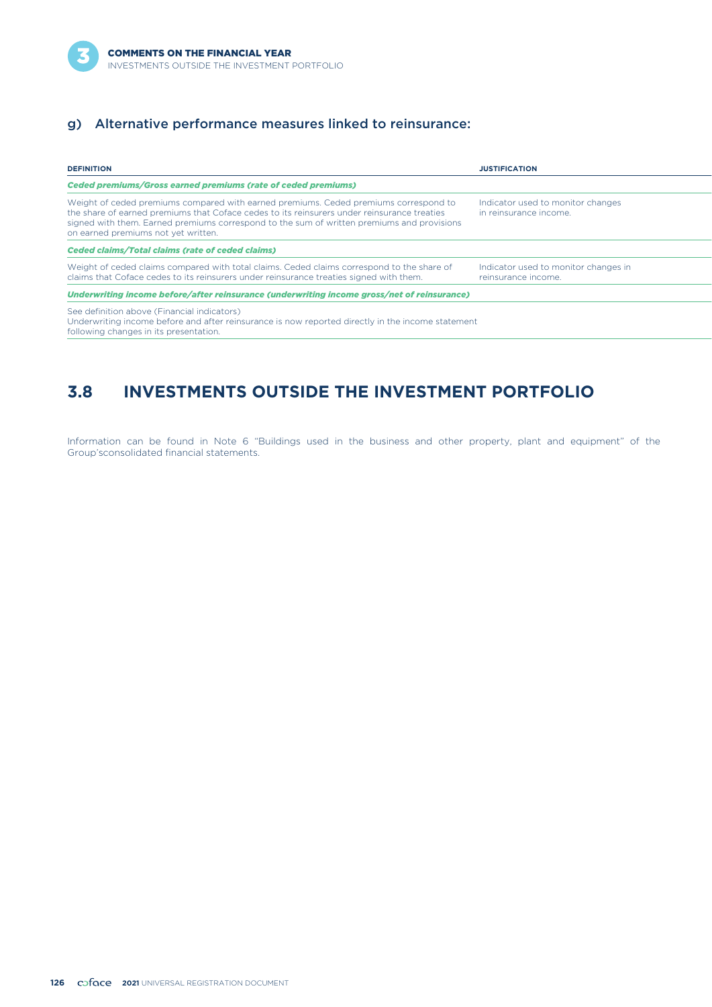## g) Alternative performance measures linked to reinsurance:

| <b>DEFINITION</b>                                                                                                                                                                                                                                                                                                        | <b>JUSTIFICATION</b>                                        |
|--------------------------------------------------------------------------------------------------------------------------------------------------------------------------------------------------------------------------------------------------------------------------------------------------------------------------|-------------------------------------------------------------|
| <b>Ceded premiums/Gross earned premiums (rate of ceded premiums)</b>                                                                                                                                                                                                                                                     |                                                             |
| Weight of ceded premiums compared with earned premiums. Ceded premiums correspond to<br>the share of earned premiums that Coface cedes to its reinsurers under reinsurance treaties<br>signed with them. Earned premiums correspond to the sum of written premiums and provisions<br>on earned premiums not yet written. | Indicator used to monitor changes<br>in reinsurance income. |
| <b>Ceded claims/Total claims (rate of ceded claims)</b>                                                                                                                                                                                                                                                                  |                                                             |
| Weight of ceded claims compared with total claims. Ceded claims correspond to the share of<br>claims that Coface cedes to its reinsurers under reinsurance treaties signed with them.                                                                                                                                    | Indicator used to monitor changes in<br>reinsurance income. |
| Underwriting income before/after reinsurance (underwriting income gross/net of reinsurance)                                                                                                                                                                                                                              |                                                             |
| See definition above (Financial indicators)<br>Underwriting income before and after reinsurance is now reported directly in the income statement<br>following changes in its presentation.                                                                                                                               |                                                             |

# **3.8 INVESTMENTS OUTSIDE THE INVESTMENT PORTFOLIO**

Information can be found in Note 6 "Buildings used in the business and other property, plant and equipment" of the Group'sconsolidated financial statements.